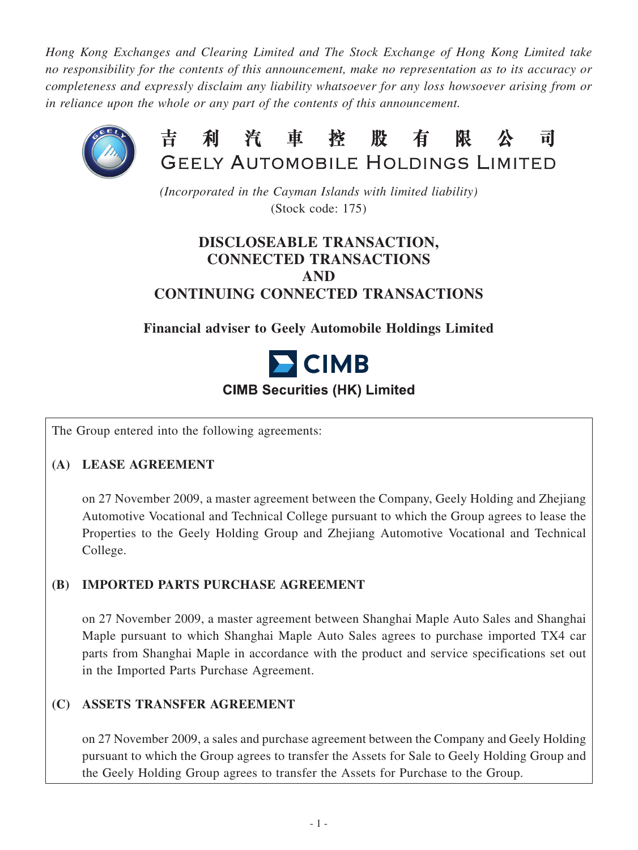*Hong Kong Exchanges and Clearing Limited and The Stock Exchange of Hong Kong Limited take no responsibility for the contents of this announcement, make no representation as to its accuracy or completeness and expressly disclaim any liability whatsoever for any loss howsoever arising from or in reliance upon the whole or any part of the contents of this announcement.*



*(Incorporated in the Cayman Islands with limited liability)* (Stock code: 175)

# **DISCLOSEABLE TRANSACTION, CONNECTED TRANSACTIONS AND CONTINUING CONNECTED TRANSACTIONS**

## **Financial adviser to Geely Automobile Holdings Limited**



The Group entered into the following agreements:

## **(a) Lease Agreement**

on 27 November 2009, a master agreement between the Company, Geely Holding and Zhejiang Automotive Vocational and Technical College pursuant to which the Group agrees to lease the Properties to the Geely Holding Group and Zhejiang Automotive Vocational and Technical College.

## **(b) Imported Parts Purchase Agreement**

on 27 November 2009, a master agreement between Shanghai Maple Auto Sales and Shanghai Maple pursuant to which Shanghai Maple Auto Sales agrees to purchase imported TX4 car parts from Shanghai Maple in accordance with the product and service specifications set out in the Imported Parts Purchase Agreement.

## **(c) Assets Transfer Agreement**

on 27 November 2009, a sales and purchase agreement between the Company and Geely Holding pursuant to which the Group agrees to transfer the Assets for Sale to Geely Holding Group and the Geely Holding Group agrees to transfer the Assets for Purchase to the Group.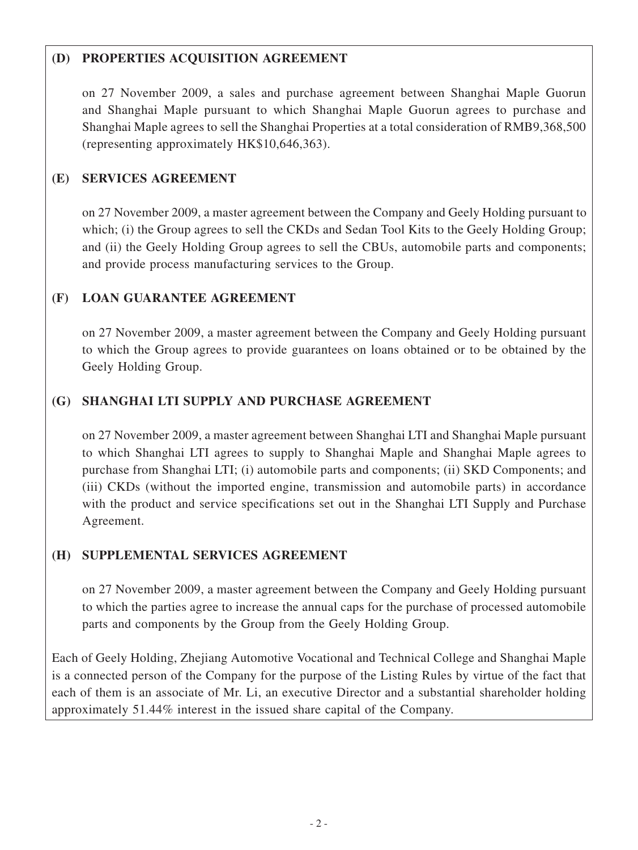## **(d) Properties Acquisition Agreement**

on 27 November 2009, a sales and purchase agreement between Shanghai Maple Guorun and Shanghai Maple pursuant to which Shanghai Maple Guorun agrees to purchase and Shanghai Maple agrees to sell the Shanghai Properties at a total consideration of RMB9,368,500 (representing approximately HK\$10,646,363).

## **(e) Services Agreement**

on 27 November 2009, a master agreement between the Company and Geely Holding pursuant to which; (i) the Group agrees to sell the CKDs and Sedan Tool Kits to the Geely Holding Group; and (ii) the Geely Holding Group agrees to sell the CBUs, automobile parts and components; and provide process manufacturing services to the Group.

## **(f) Loan Guarantee Agreement**

on 27 November 2009, a master agreement between the Company and Geely Holding pursuant to which the Group agrees to provide guarantees on loans obtained or to be obtained by the Geely Holding Group.

## **(g) Shanghai LTI Supply and Purchase Agreement**

on 27 November 2009, a master agreement between Shanghai LTI and Shanghai Maple pursuant to which Shanghai LTI agrees to supply to Shanghai Maple and Shanghai Maple agrees to purchase from Shanghai LTI; (i) automobile parts and components; (ii) SKD Components; and (iii) CKDs (without the imported engine, transmission and automobile parts) in accordance with the product and service specifications set out in the Shanghai LTI Supply and Purchase Agreement.

## **(h) Supplemental Services Agreement**

on 27 November 2009, a master agreement between the Company and Geely Holding pursuant to which the parties agree to increase the annual caps for the purchase of processed automobile parts and components by the Group from the Geely Holding Group.

Each of Geely Holding, Zhejiang Automotive Vocational and Technical College and Shanghai Maple is a connected person of the Company for the purpose of the Listing Rules by virtue of the fact that each of them is an associate of Mr. Li, an executive Director and a substantial shareholder holding approximately 51.44% interest in the issued share capital of the Company.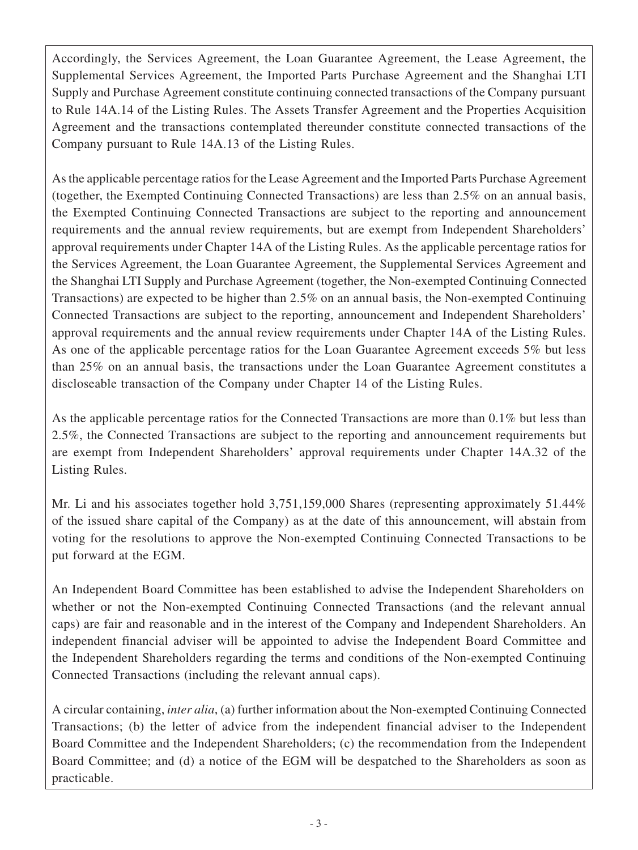Accordingly, the Services Agreement, the Loan Guarantee Agreement, the Lease Agreement, the Supplemental Services Agreement, the Imported Parts Purchase Agreement and the Shanghai LTI Supply and Purchase Agreement constitute continuing connected transactions of the Company pursuant to Rule 14A.14 of the Listing Rules. The Assets Transfer Agreement and the Properties Acquisition Agreement and the transactions contemplated thereunder constitute connected transactions of the Company pursuant to Rule 14A.13 of the Listing Rules.

As the applicable percentage ratios for the Lease Agreement and the Imported Parts Purchase Agreement (together, the Exempted Continuing Connected Transactions) are less than 2.5% on an annual basis, the Exempted Continuing Connected Transactions are subject to the reporting and announcement requirements and the annual review requirements, but are exempt from Independent Shareholders' approval requirements under Chapter 14A of the Listing Rules. As the applicable percentage ratios for the Services Agreement, the Loan Guarantee Agreement, the Supplemental Services Agreement and the Shanghai LTI Supply and Purchase Agreement (together, the Non-exempted Continuing Connected Transactions) are expected to be higher than 2.5% on an annual basis, the Non-exempted Continuing Connected Transactions are subject to the reporting, announcement and Independent Shareholders' approval requirements and the annual review requirements under Chapter 14A of the Listing Rules. As one of the applicable percentage ratios for the Loan Guarantee Agreement exceeds 5% but less than 25% on an annual basis, the transactions under the Loan Guarantee Agreement constitutes a discloseable transaction of the Company under Chapter 14 of the Listing Rules.

As the applicable percentage ratios for the Connected Transactions are more than 0.1% but less than 2.5%, the Connected Transactions are subject to the reporting and announcement requirements but are exempt from Independent Shareholders' approval requirements under Chapter 14A.32 of the Listing Rules.

Mr. Li and his associates together hold 3,751,159,000 Shares (representing approximately 51.44% of the issued share capital of the Company) as at the date of this announcement, will abstain from voting for the resolutions to approve the Non-exempted Continuing Connected Transactions to be put forward at the EGM.

An Independent Board Committee has been established to advise the Independent Shareholders on whether or not the Non-exempted Continuing Connected Transactions (and the relevant annual caps) are fair and reasonable and in the interest of the Company and Independent Shareholders. An independent financial adviser will be appointed to advise the Independent Board Committee and the Independent Shareholders regarding the terms and conditions of the Non-exempted Continuing Connected Transactions (including the relevant annual caps).

A circular containing, *inter alia*, (a) further information about the Non-exempted Continuing Connected Transactions; (b) the letter of advice from the independent financial adviser to the Independent Board Committee and the Independent Shareholders; (c) the recommendation from the Independent Board Committee; and (d) a notice of the EGM will be despatched to the Shareholders as soon as practicable.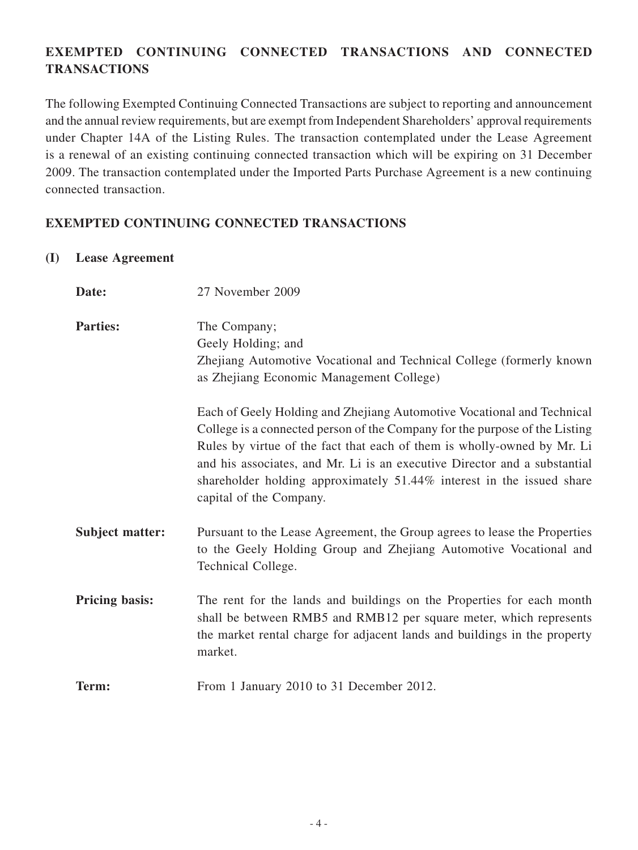## **EXEMPTED CONTINUING CONNECTED TRANSACTIONS AND CONNECTED TRANSACTIONS**

The following Exempted Continuing Connected Transactions are subject to reporting and announcement and the annual review requirements, but are exempt from Independent Shareholders' approval requirements under Chapter 14A of the Listing Rules. The transaction contemplated under the Lease Agreement is a renewal of an existing continuing connected transaction which will be expiring on 31 December 2009. The transaction contemplated under the Imported Parts Purchase Agreement is a new continuing connected transaction.

## **EXEMPTED CONTINUING CONNECTED TRANSACTIONS**

**(I) Lease Agreement**

| Date:                  | 27 November 2009                                                                                                                                                                                                                                                                                                                                                                                                  |
|------------------------|-------------------------------------------------------------------------------------------------------------------------------------------------------------------------------------------------------------------------------------------------------------------------------------------------------------------------------------------------------------------------------------------------------------------|
| <b>Parties:</b>        | The Company;<br>Geely Holding; and<br>Zhejiang Automotive Vocational and Technical College (formerly known<br>as Zhejiang Economic Management College)                                                                                                                                                                                                                                                            |
|                        | Each of Geely Holding and Zhejiang Automotive Vocational and Technical<br>College is a connected person of the Company for the purpose of the Listing<br>Rules by virtue of the fact that each of them is wholly-owned by Mr. Li<br>and his associates, and Mr. Li is an executive Director and a substantial<br>shareholder holding approximately 51.44% interest in the issued share<br>capital of the Company. |
| <b>Subject matter:</b> | Pursuant to the Lease Agreement, the Group agrees to lease the Properties<br>to the Geely Holding Group and Zhejiang Automotive Vocational and<br>Technical College.                                                                                                                                                                                                                                              |
| <b>Pricing basis:</b>  | The rent for the lands and buildings on the Properties for each month<br>shall be between RMB5 and RMB12 per square meter, which represents<br>the market rental charge for adjacent lands and buildings in the property<br>market.                                                                                                                                                                               |
| Term:                  | From 1 January 2010 to 31 December 2012.                                                                                                                                                                                                                                                                                                                                                                          |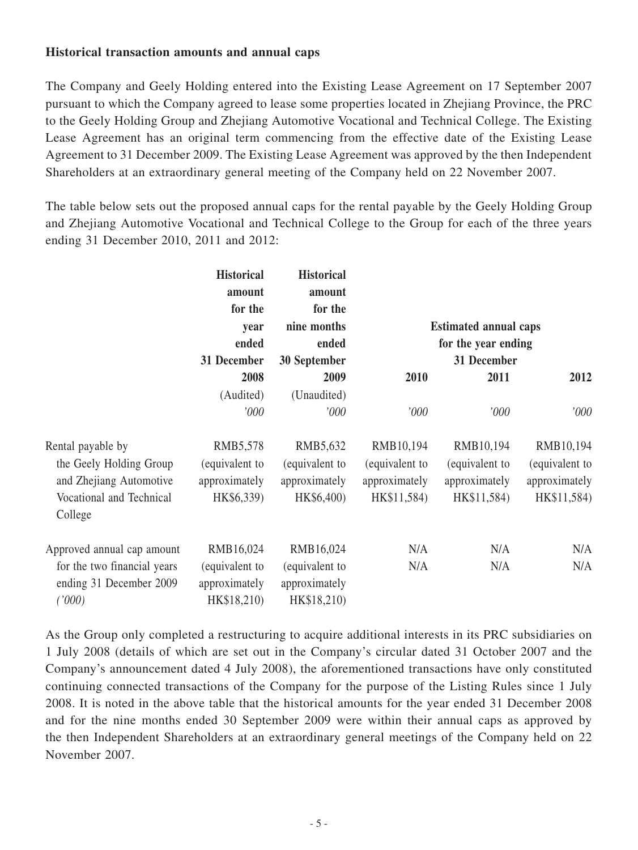## **Historical transaction amounts and annual caps**

The Company and Geely Holding entered into the Existing Lease Agreement on 17 September 2007 pursuant to which the Company agreed to lease some properties located in Zhejiang Province, the PRC to the Geely Holding Group and Zhejiang Automotive Vocational and Technical College. The Existing Lease Agreement has an original term commencing from the effective date of the Existing Lease Agreement to 31 December 2009. The Existing Lease Agreement was approved by the then Independent Shareholders at an extraordinary general meeting of the Company held on 22 November 2007.

The table below sets out the proposed annual caps for the rental payable by the Geely Holding Group and Zhejiang Automotive Vocational and Technical College to the Group for each of the three years ending 31 December 2010, 2011 and 2012:

|                                     | <b>Historical</b><br>amount<br>for the<br>year<br>ended<br>31 December | <b>Historical</b><br>amount<br>for the<br>nine months<br>ended<br>30 September |                | <b>Estimated annual caps</b><br>for the year ending<br>31 December |                |
|-------------------------------------|------------------------------------------------------------------------|--------------------------------------------------------------------------------|----------------|--------------------------------------------------------------------|----------------|
|                                     | 2008                                                                   | 2009                                                                           | 2010           | 2011                                                               | 2012           |
|                                     | (Audited)                                                              | (Unaudited)                                                                    |                |                                                                    |                |
|                                     | '000                                                                   | 000'                                                                           | '000           | '000                                                               | '000           |
| Rental payable by                   | RMB5,578                                                               | RMB5,632                                                                       | RMB10,194      | RMB10,194                                                          | RMB10,194      |
| the Geely Holding Group             | (equivalent to                                                         | (equivalent to                                                                 | (equivalent to | (equivalent to                                                     | (equivalent to |
| and Zhejiang Automotive             | approximately                                                          | approximately                                                                  | approximately  | approximately                                                      | approximately  |
| Vocational and Technical<br>College | HK\$6,339)                                                             | HK\$6,400)                                                                     | HK\$11,584)    | HK\$11,584)                                                        | HK\$11,584)    |
| Approved annual cap amount          | RMB16,024                                                              | RMB16,024                                                                      | N/A            | N/A                                                                | N/A            |
| for the two financial years         | (equivalent to                                                         | (equivalent to                                                                 | N/A            | N/A                                                                | N/A            |
| ending 31 December 2009             | approximately                                                          | approximately                                                                  |                |                                                                    |                |
| (1000)                              | HK\$18,210)                                                            | HK\$18,210)                                                                    |                |                                                                    |                |

As the Group only completed a restructuring to acquire additional interests in its PRC subsidiaries on 1 July 2008 (details of which are set out in the Company's circular dated 31 October 2007 and the Company's announcement dated 4 July 2008), the aforementioned transactions have only constituted continuing connected transactions of the Company for the purpose of the Listing Rules since 1 July 2008. It is noted in the above table that the historical amounts for the year ended 31 December 2008 and for the nine months ended 30 September 2009 were within their annual caps as approved by the then Independent Shareholders at an extraordinary general meetings of the Company held on 22 November 2007.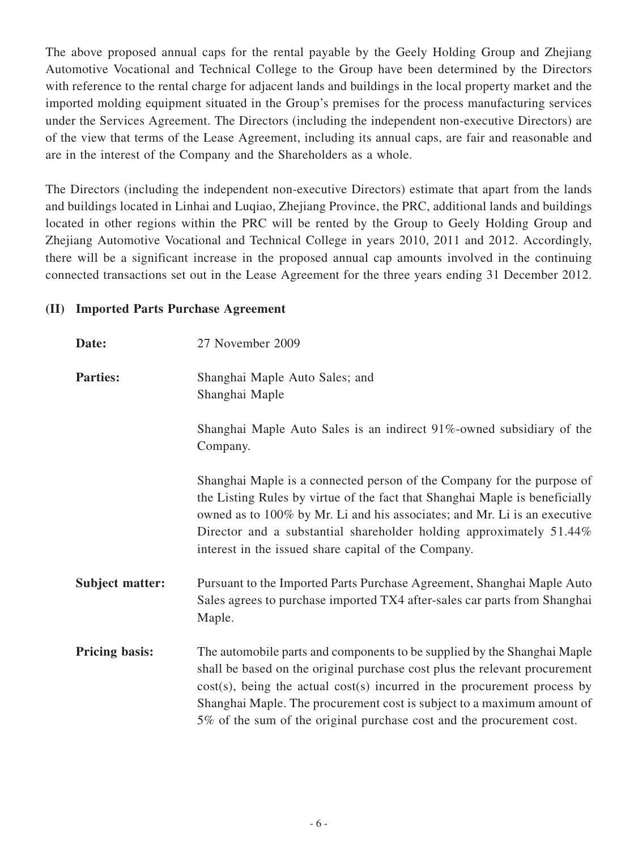The above proposed annual caps for the rental payable by the Geely Holding Group and Zhejiang Automotive Vocational and Technical College to the Group have been determined by the Directors with reference to the rental charge for adjacent lands and buildings in the local property market and the imported molding equipment situated in the Group's premises for the process manufacturing services under the Services Agreement. The Directors (including the independent non-executive Directors) are of the view that terms of the Lease Agreement, including its annual caps, are fair and reasonable and are in the interest of the Company and the Shareholders as a whole.

The Directors (including the independent non-executive Directors) estimate that apart from the lands and buildings located in Linhai and Luqiao, Zhejiang Province, the PRC, additional lands and buildings located in other regions within the PRC will be rented by the Group to Geely Holding Group and Zhejiang Automotive Vocational and Technical College in years 2010, 2011 and 2012. Accordingly, there will be a significant increase in the proposed annual cap amounts involved in the continuing connected transactions set out in the Lease Agreement for the three years ending 31 December 2012.

#### **(II) Imported Parts Purchase Agreement**

| Date:                  | 27 November 2009                                                                                                                                                                                                                                                                                                                                                                            |
|------------------------|---------------------------------------------------------------------------------------------------------------------------------------------------------------------------------------------------------------------------------------------------------------------------------------------------------------------------------------------------------------------------------------------|
| <b>Parties:</b>        | Shanghai Maple Auto Sales; and<br>Shanghai Maple                                                                                                                                                                                                                                                                                                                                            |
|                        | Shanghai Maple Auto Sales is an indirect 91%-owned subsidiary of the<br>Company.                                                                                                                                                                                                                                                                                                            |
|                        | Shanghai Maple is a connected person of the Company for the purpose of<br>the Listing Rules by virtue of the fact that Shanghai Maple is beneficially<br>owned as to 100% by Mr. Li and his associates; and Mr. Li is an executive<br>Director and a substantial shareholder holding approximately 51.44%<br>interest in the issued share capital of the Company.                           |
| <b>Subject matter:</b> | Pursuant to the Imported Parts Purchase Agreement, Shanghai Maple Auto<br>Sales agrees to purchase imported TX4 after-sales car parts from Shanghai<br>Maple.                                                                                                                                                                                                                               |
| <b>Pricing basis:</b>  | The automobile parts and components to be supplied by the Shanghai Maple<br>shall be based on the original purchase cost plus the relevant procurement<br>$cost(s)$ , being the actual cost $(s)$ incurred in the procurement process by<br>Shanghai Maple. The procurement cost is subject to a maximum amount of<br>5% of the sum of the original purchase cost and the procurement cost. |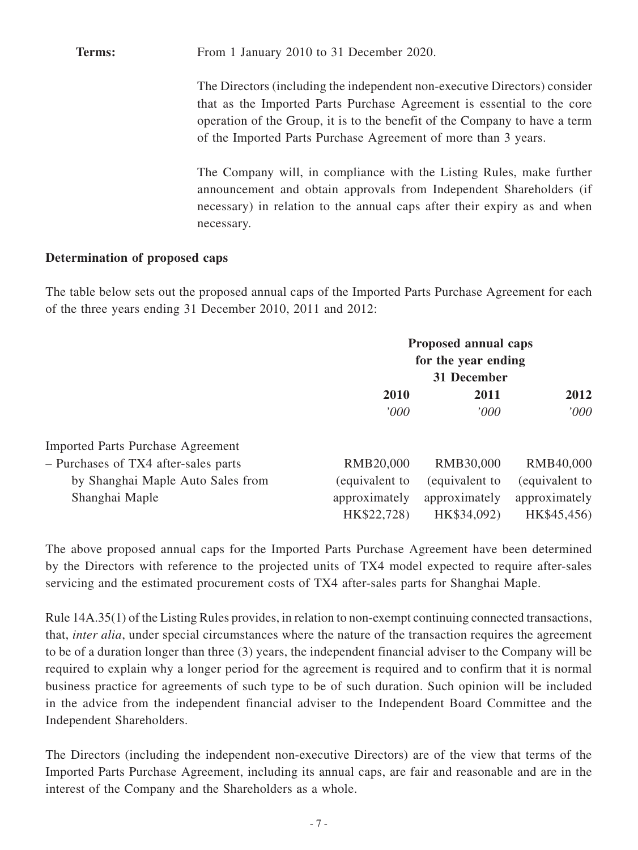**Terms:** From 1 January 2010 to 31 December 2020.

The Directors (including the independent non-executive Directors) consider that as the Imported Parts Purchase Agreement is essential to the core operation of the Group, it is to the benefit of the Company to have a term of the Imported Parts Purchase Agreement of more than 3 years.

The Company will, in compliance with the Listing Rules, make further announcement and obtain approvals from Independent Shareholders (if necessary) in relation to the annual caps after their expiry as and when necessary.

## **Determination of proposed caps**

The table below sets out the proposed annual caps of the Imported Parts Purchase Agreement for each of the three years ending 31 December 2010, 2011 and 2012:

|                                          | Proposed annual caps<br>for the year ending<br>31 December |                              |                              |
|------------------------------------------|------------------------------------------------------------|------------------------------|------------------------------|
|                                          | 2010<br>2011                                               |                              |                              |
|                                          | '000                                                       | '000                         | '000                         |
| <b>Imported Parts Purchase Agreement</b> |                                                            |                              |                              |
| - Purchases of TX4 after-sales parts     | RMB20,000                                                  | RMB30,000                    | RMB40,000                    |
| by Shanghai Maple Auto Sales from        | (equivalent to                                             | equivalent to                | equivalent to                |
| Shanghai Maple                           | approximately<br>HK\$22,728)                               | approximately<br>HK\$34,092) | approximately<br>HK\$45,456) |

The above proposed annual caps for the Imported Parts Purchase Agreement have been determined by the Directors with reference to the projected units of TX4 model expected to require after-sales servicing and the estimated procurement costs of TX4 after-sales parts for Shanghai Maple.

Rule 14A.35(1) of the Listing Rules provides, in relation to non-exempt continuing connected transactions, that, *inter alia*, under special circumstances where the nature of the transaction requires the agreement to be of a duration longer than three (3) years, the independent financial adviser to the Company will be required to explain why a longer period for the agreement is required and to confirm that it is normal business practice for agreements of such type to be of such duration. Such opinion will be included in the advice from the independent financial adviser to the Independent Board Committee and the Independent Shareholders.

The Directors (including the independent non-executive Directors) are of the view that terms of the Imported Parts Purchase Agreement, including its annual caps, are fair and reasonable and are in the interest of the Company and the Shareholders as a whole.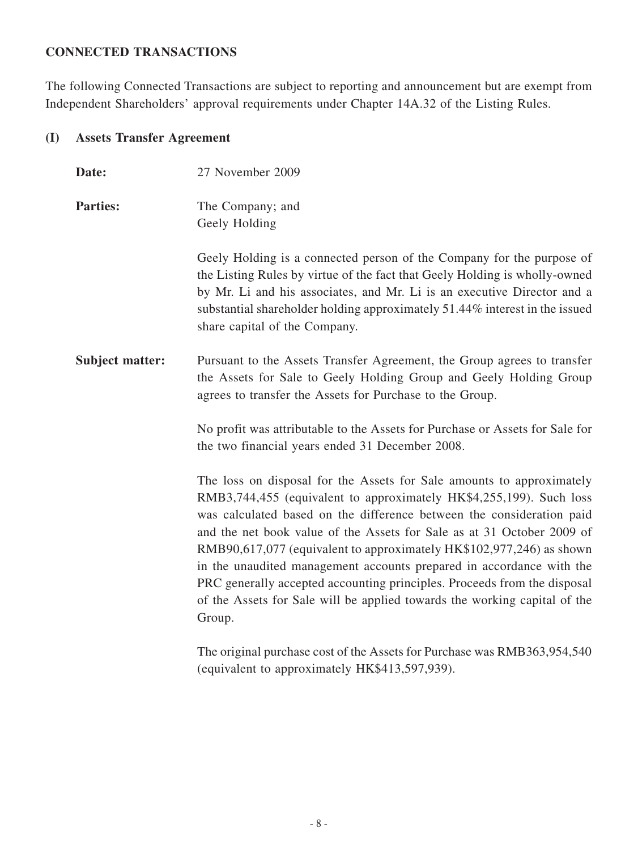## **CONNECTED TRANSACTIONS**

The following Connected Transactions are subject to reporting and announcement but are exempt from Independent Shareholders' approval requirements under Chapter 14A.32 of the Listing Rules.

## **(I) Assets Transfer Agreement**

| Date:                  | 27 November 2009                                                                                                                                                                                                                                                                                                                                                                                                                                                                                                                                                                                                   |
|------------------------|--------------------------------------------------------------------------------------------------------------------------------------------------------------------------------------------------------------------------------------------------------------------------------------------------------------------------------------------------------------------------------------------------------------------------------------------------------------------------------------------------------------------------------------------------------------------------------------------------------------------|
| <b>Parties:</b>        | The Company; and<br>Geely Holding                                                                                                                                                                                                                                                                                                                                                                                                                                                                                                                                                                                  |
|                        | Geely Holding is a connected person of the Company for the purpose of<br>the Listing Rules by virtue of the fact that Geely Holding is wholly-owned<br>by Mr. Li and his associates, and Mr. Li is an executive Director and a<br>substantial shareholder holding approximately 51.44% interest in the issued<br>share capital of the Company.                                                                                                                                                                                                                                                                     |
| <b>Subject matter:</b> | Pursuant to the Assets Transfer Agreement, the Group agrees to transfer<br>the Assets for Sale to Geely Holding Group and Geely Holding Group<br>agrees to transfer the Assets for Purchase to the Group.                                                                                                                                                                                                                                                                                                                                                                                                          |
|                        | No profit was attributable to the Assets for Purchase or Assets for Sale for<br>the two financial years ended 31 December 2008.                                                                                                                                                                                                                                                                                                                                                                                                                                                                                    |
|                        | The loss on disposal for the Assets for Sale amounts to approximately<br>RMB3,744,455 (equivalent to approximately HK\$4,255,199). Such loss<br>was calculated based on the difference between the consideration paid<br>and the net book value of the Assets for Sale as at 31 October 2009 of<br>RMB90,617,077 (equivalent to approximately HK\$102,977,246) as shown<br>in the unaudited management accounts prepared in accordance with the<br>PRC generally accepted accounting principles. Proceeds from the disposal<br>of the Assets for Sale will be applied towards the working capital of the<br>Group. |
|                        | The original purchase cost of the Assets for Purchase was RMB363 954 540                                                                                                                                                                                                                                                                                                                                                                                                                                                                                                                                           |

The original purchase cost of the Assets for Purchase was RMB363,954,540 (equivalent to approximately HK\$413,597,939).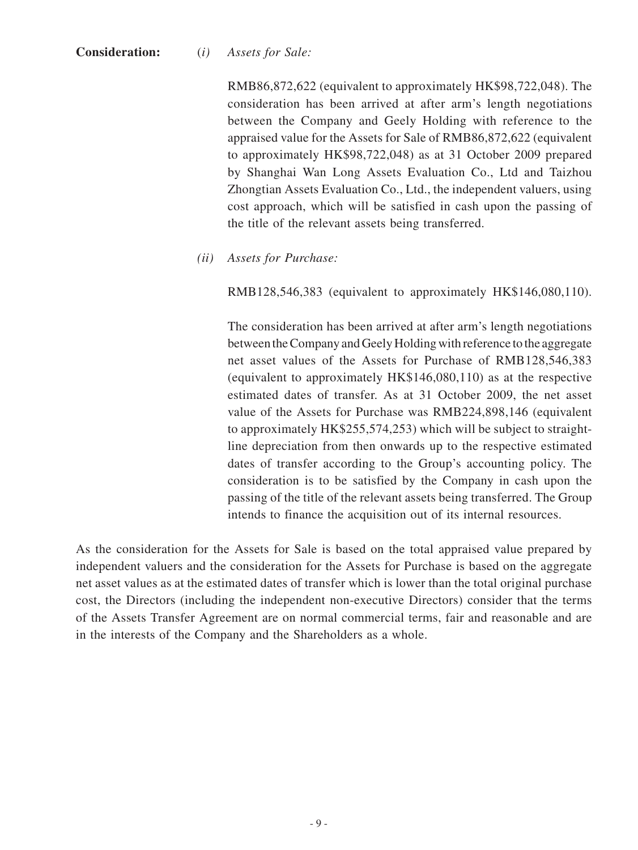#### **Consideration:** (*i) Assets for Sale:*

RMB86,872,622 (equivalent to approximately HK\$98,722,048). The consideration has been arrived at after arm's length negotiations between the Company and Geely Holding with reference to the appraised value for the Assets for Sale of RMB86,872,622 (equivalent to approximately HK\$98,722,048) as at 31 October 2009 prepared by Shanghai Wan Long Assets Evaluation Co., Ltd and Taizhou Zhongtian Assets Evaluation Co., Ltd., the independent valuers, using cost approach, which will be satisfied in cash upon the passing of the title of the relevant assets being transferred.

*(ii) Assets for Purchase:*

RMB128,546,383 (equivalent to approximately HK\$146,080,110).

The consideration has been arrived at after arm's length negotiations between the Company and Geely Holding with reference to the aggregate net asset values of the Assets for Purchase of RMB128,546,383 (equivalent to approximately HK\$146,080,110) as at the respective estimated dates of transfer. As at 31 October 2009, the net asset value of the Assets for Purchase was RMB224,898,146 (equivalent to approximately HK\$255,574,253) which will be subject to straightline depreciation from then onwards up to the respective estimated dates of transfer according to the Group's accounting policy. The consideration is to be satisfied by the Company in cash upon the passing of the title of the relevant assets being transferred. The Group intends to finance the acquisition out of its internal resources.

As the consideration for the Assets for Sale is based on the total appraised value prepared by independent valuers and the consideration for the Assets for Purchase is based on the aggregate net asset values as at the estimated dates of transfer which is lower than the total original purchase cost, the Directors (including the independent non-executive Directors) consider that the terms of the Assets Transfer Agreement are on normal commercial terms, fair and reasonable and are in the interests of the Company and the Shareholders as a whole.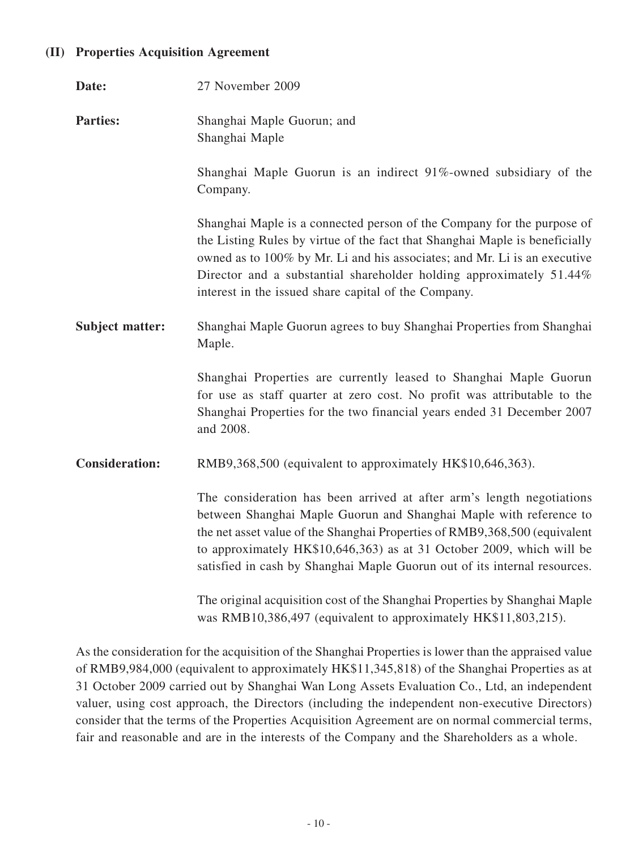#### **(II) Properties Acquisition Agreement**

| Date:                  | 27 November 2009                                                                                                                                                                                                                                                                                                                                                                |
|------------------------|---------------------------------------------------------------------------------------------------------------------------------------------------------------------------------------------------------------------------------------------------------------------------------------------------------------------------------------------------------------------------------|
| <b>Parties:</b>        | Shanghai Maple Guorun; and<br>Shanghai Maple                                                                                                                                                                                                                                                                                                                                    |
|                        | Shanghai Maple Guorun is an indirect 91%-owned subsidiary of the<br>Company.                                                                                                                                                                                                                                                                                                    |
|                        | Shanghai Maple is a connected person of the Company for the purpose of<br>the Listing Rules by virtue of the fact that Shanghai Maple is beneficially<br>owned as to 100% by Mr. Li and his associates; and Mr. Li is an executive<br>Director and a substantial shareholder holding approximately 51.44%<br>interest in the issued share capital of the Company.               |
| <b>Subject matter:</b> | Shanghai Maple Guorun agrees to buy Shanghai Properties from Shanghai<br>Maple.                                                                                                                                                                                                                                                                                                 |
|                        | Shanghai Properties are currently leased to Shanghai Maple Guorun<br>for use as staff quarter at zero cost. No profit was attributable to the<br>Shanghai Properties for the two financial years ended 31 December 2007<br>and 2008.                                                                                                                                            |
| <b>Consideration:</b>  | RMB9,368,500 (equivalent to approximately HK\$10,646,363).                                                                                                                                                                                                                                                                                                                      |
|                        | The consideration has been arrived at after arm's length negotiations<br>between Shanghai Maple Guorun and Shanghai Maple with reference to<br>the net asset value of the Shanghai Properties of RMB9,368,500 (equivalent<br>to approximately HK\$10,646,363) as at 31 October 2009, which will be<br>satisfied in cash by Shanghai Maple Guorun out of its internal resources. |
|                        | The original acquisition cost of the Shanghai Properties by Shanghai Maple<br>was RMB10,386,497 (equivalent to approximately HK\$11,803,215).                                                                                                                                                                                                                                   |

As the consideration for the acquisition of the Shanghai Properties is lower than the appraised value of RMB9,984,000 (equivalent to approximately HK\$11,345,818) of the Shanghai Properties as at 31 October 2009 carried out by Shanghai Wan Long Assets Evaluation Co., Ltd, an independent valuer, using cost approach, the Directors (including the independent non-executive Directors) consider that the terms of the Properties Acquisition Agreement are on normal commercial terms, fair and reasonable and are in the interests of the Company and the Shareholders as a whole.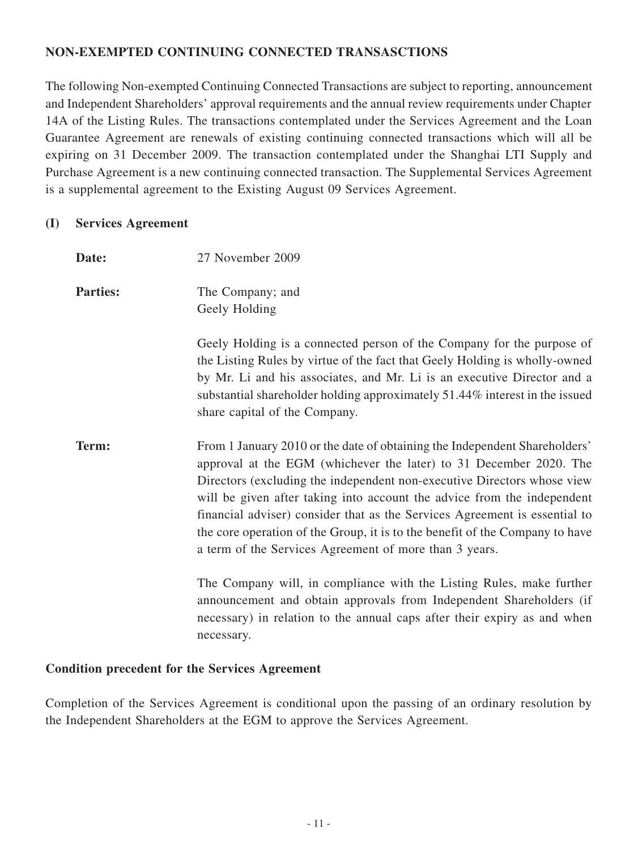## **NON-EXEMPTED CONTINUING CONNECTED TRANSASCTIONS**

The following Non-exempted Continuing Connected Transactions are subject to reporting, announcement and Independent Shareholders' approval requirements and the annual review requirements under Chapter 14A of the Listing Rules. The transactions contemplated under the Services Agreement and the Loan Guarantee Agreement are renewals of existing continuing connected transactions which will all be expiring on 31 December 2009. The transaction contemplated under the Shanghai LTI Supply and Purchase Agreement is a new continuing connected transaction. The Supplemental Services Agreement is a supplemental agreement to the Existing August 09 Services Agreement.

#### **(I) Services Agreement**

| Date:           | 27 November 2009                                                                                                                                                                                                                                                                                                                                                                                                                                                                                                               |
|-----------------|--------------------------------------------------------------------------------------------------------------------------------------------------------------------------------------------------------------------------------------------------------------------------------------------------------------------------------------------------------------------------------------------------------------------------------------------------------------------------------------------------------------------------------|
| <b>Parties:</b> | The Company; and<br>Geely Holding                                                                                                                                                                                                                                                                                                                                                                                                                                                                                              |
|                 | Geely Holding is a connected person of the Company for the purpose of<br>the Listing Rules by virtue of the fact that Geely Holding is wholly-owned<br>by Mr. Li and his associates, and Mr. Li is an executive Director and a<br>substantial shareholder holding approximately 51.44% interest in the issued<br>share capital of the Company.                                                                                                                                                                                 |
| Term:           | From 1 January 2010 or the date of obtaining the Independent Shareholders'<br>approval at the EGM (whichever the later) to 31 December 2020. The<br>Directors (excluding the independent non-executive Directors whose view<br>will be given after taking into account the advice from the independent<br>financial adviser) consider that as the Services Agreement is essential to<br>the core operation of the Group, it is to the benefit of the Company to have<br>a term of the Services Agreement of more than 3 years. |
|                 | The Company will, in compliance with the Listing Rules, make further<br>announcement and obtain approvals from Independent Shareholders (if<br>necessary) in relation to the annual caps after their expiry as and when<br>necessary.                                                                                                                                                                                                                                                                                          |

## **Condition precedent for the Services Agreement**

Completion of the Services Agreement is conditional upon the passing of an ordinary resolution by the Independent Shareholders at the EGM to approve the Services Agreement.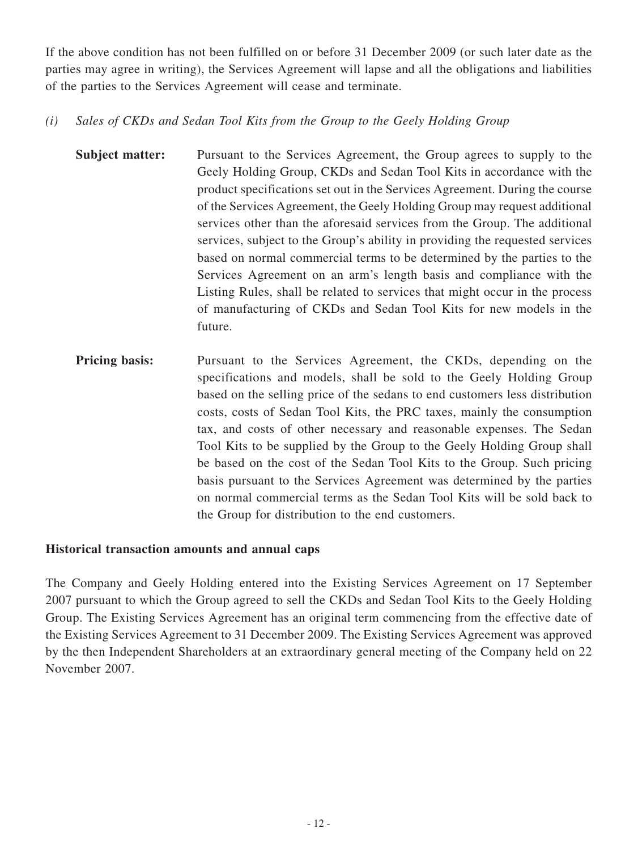If the above condition has not been fulfilled on or before 31 December 2009 (or such later date as the parties may agree in writing), the Services Agreement will lapse and all the obligations and liabilities of the parties to the Services Agreement will cease and terminate.

## *(i) Sales of CKDs and Sedan Tool Kits from the Group to the Geely Holding Group*

- **Subject matter:** Pursuant to the Services Agreement, the Group agrees to supply to the Geely Holding Group, CKDs and Sedan Tool Kits in accordance with the product specifications set out in the Services Agreement. During the course of the Services Agreement, the Geely Holding Group may request additional services other than the aforesaid services from the Group. The additional services, subject to the Group's ability in providing the requested services based on normal commercial terms to be determined by the parties to the Services Agreement on an arm's length basis and compliance with the Listing Rules, shall be related to services that might occur in the process of manufacturing of CKDs and Sedan Tool Kits for new models in the future.
- **Pricing basis:** Pursuant to the Services Agreement, the CKDs, depending on the specifications and models, shall be sold to the Geely Holding Group based on the selling price of the sedans to end customers less distribution costs, costs of Sedan Tool Kits, the PRC taxes, mainly the consumption tax, and costs of other necessary and reasonable expenses. The Sedan Tool Kits to be supplied by the Group to the Geely Holding Group shall be based on the cost of the Sedan Tool Kits to the Group. Such pricing basis pursuant to the Services Agreement was determined by the parties on normal commercial terms as the Sedan Tool Kits will be sold back to the Group for distribution to the end customers.

#### **Historical transaction amounts and annual caps**

The Company and Geely Holding entered into the Existing Services Agreement on 17 September 2007 pursuant to which the Group agreed to sell the CKDs and Sedan Tool Kits to the Geely Holding Group. The Existing Services Agreement has an original term commencing from the effective date of the Existing Services Agreement to 31 December 2009. The Existing Services Agreement was approved by the then Independent Shareholders at an extraordinary general meeting of the Company held on 22 November 2007.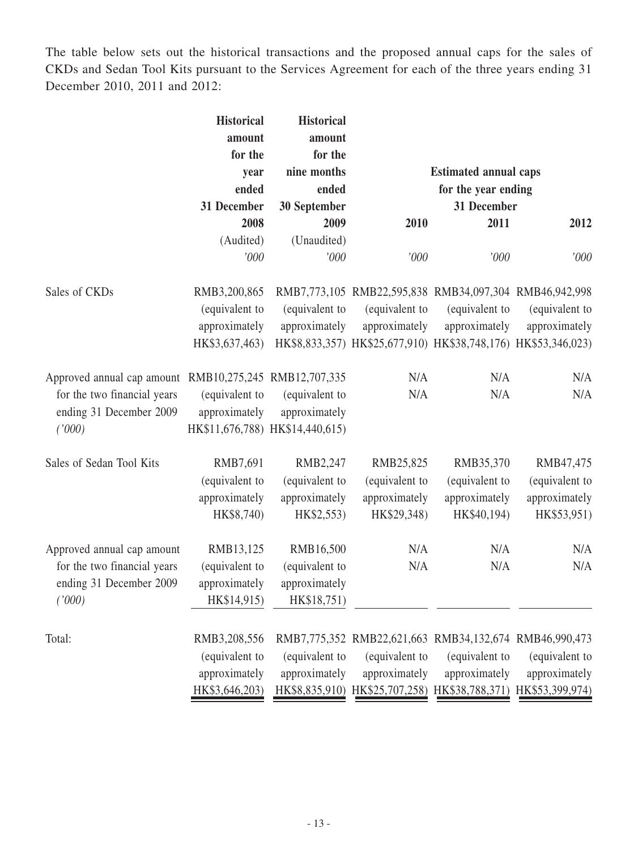The table below sets out the historical transactions and the proposed annual caps for the sales of CKDs and Sedan Tool Kits pursuant to the Services Agreement for each of the three years ending 31 December 2010, 2011 and 2012:

|                             | <b>Historical</b>               | <b>Historical</b> |                |                                                                |                |
|-----------------------------|---------------------------------|-------------------|----------------|----------------------------------------------------------------|----------------|
|                             | amount                          | amount            |                |                                                                |                |
|                             | for the                         | for the           |                |                                                                |                |
|                             | year                            | nine months       |                | <b>Estimated annual caps</b>                                   |                |
|                             | ended                           | ended             |                | for the year ending                                            |                |
|                             | 31 December                     | 30 September      |                | 31 December                                                    |                |
|                             | 2008                            | 2009              | 2010           | 2011                                                           | 2012           |
|                             | (Audited)                       | (Unaudited)       |                |                                                                |                |
|                             | '000                            | '000              | '000           | '000                                                           | '000           |
| Sales of CKDs               | RMB3,200,865                    |                   |                | RMB7,773,105 RMB22,595,838 RMB34,097,304 RMB46,942,998         |                |
|                             | (equivalent to                  | (equivalent to    | (equivalent to | (equivalent to                                                 | (equivalent to |
|                             | approximately                   | approximately     | approximately  | approximately                                                  | approximately  |
|                             | HK\$3,637,463)                  |                   |                | HK\$8,833,357) HK\$25,677,910) HK\$38,748,176) HK\$53,346,023) |                |
| Approved annual cap amount  | RMB10,275,245 RMB12,707,335     |                   | N/A            | N/A                                                            | N/A            |
| for the two financial years | (equivalent to                  | (equivalent to    | N/A            | N/A                                                            | N/A            |
| ending 31 December 2009     | approximately                   | approximately     |                |                                                                |                |
| (1000)                      | HK\$11,676,788) HK\$14,440,615) |                   |                |                                                                |                |
| Sales of Sedan Tool Kits    | RMB7,691                        | RMB2,247          | RMB25,825      | RMB35,370                                                      | RMB47,475      |
|                             | (equivalent to                  | (equivalent to    | (equivalent to | (equivalent to                                                 | (equivalent to |
|                             | approximately                   | approximately     | approximately  | approximately                                                  | approximately  |
|                             | HK\$8,740)                      | HK\$2,553)        | HK\$29,348)    | HK\$40,194)                                                    | HK\$53,951)    |
| Approved annual cap amount  | RMB13,125                       | RMB16,500         | N/A            | N/A                                                            | N/A            |
| for the two financial years | (equivalent to                  | (equivalent to    | N/A            | N/A                                                            | N/A            |
| ending 31 December 2009     | approximately                   | approximately     |                |                                                                |                |
| (1000)                      | HK\$14,915)                     | HK\$18,751)       |                |                                                                |                |
| Total:                      | RMB3,208,556                    |                   |                | RMB7,775,352 RMB22,621,663 RMB34,132,674 RMB46,990,473         |                |
|                             | (equivalent to                  | (equivalent to    | (equivalent to | (equivalent to                                                 | (equivalent to |
|                             | approximately                   | approximately     | approximately  | approximately                                                  | approximately  |
|                             | HK\$3,646,203)                  |                   |                | HK\$8,835,910) HK\$25,707,258) HK\$38,788,371) HK\$53,399,974) |                |
|                             |                                 |                   |                |                                                                |                |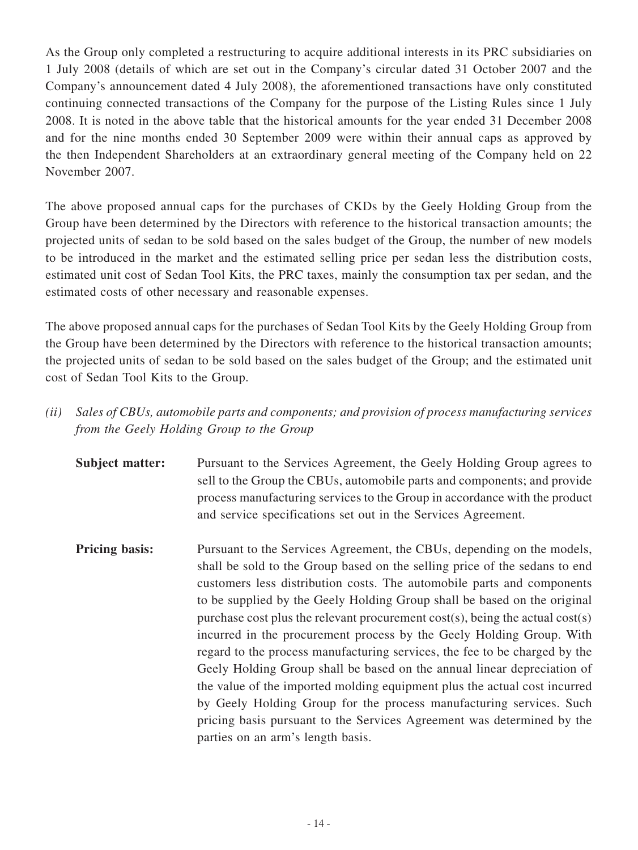As the Group only completed a restructuring to acquire additional interests in its PRC subsidiaries on 1 July 2008 (details of which are set out in the Company's circular dated 31 October 2007 and the Company's announcement dated 4 July 2008), the aforementioned transactions have only constituted continuing connected transactions of the Company for the purpose of the Listing Rules since 1 July 2008. It is noted in the above table that the historical amounts for the year ended 31 December 2008 and for the nine months ended 30 September 2009 were within their annual caps as approved by the then Independent Shareholders at an extraordinary general meeting of the Company held on 22 November 2007.

The above proposed annual caps for the purchases of CKDs by the Geely Holding Group from the Group have been determined by the Directors with reference to the historical transaction amounts; the projected units of sedan to be sold based on the sales budget of the Group, the number of new models to be introduced in the market and the estimated selling price per sedan less the distribution costs, estimated unit cost of Sedan Tool Kits, the PRC taxes, mainly the consumption tax per sedan, and the estimated costs of other necessary and reasonable expenses.

The above proposed annual caps for the purchases of Sedan Tool Kits by the Geely Holding Group from the Group have been determined by the Directors with reference to the historical transaction amounts; the projected units of sedan to be sold based on the sales budget of the Group; and the estimated unit cost of Sedan Tool Kits to the Group.

- *(ii) Sales of CBUs, automobile parts and components; and provision of process manufacturing services from the Geely Holding Group to the Group*
	- **Subject matter:** Pursuant to the Services Agreement, the Geely Holding Group agrees to sell to the Group the CBUs, automobile parts and components; and provide process manufacturing services to the Group in accordance with the product and service specifications set out in the Services Agreement.
	- **Pricing basis:** Pursuant to the Services Agreement, the CBUs, depending on the models, shall be sold to the Group based on the selling price of the sedans to end customers less distribution costs. The automobile parts and components to be supplied by the Geely Holding Group shall be based on the original purchase cost plus the relevant procurement cost(s), being the actual cost(s) incurred in the procurement process by the Geely Holding Group. With regard to the process manufacturing services, the fee to be charged by the Geely Holding Group shall be based on the annual linear depreciation of the value of the imported molding equipment plus the actual cost incurred by Geely Holding Group for the process manufacturing services. Such pricing basis pursuant to the Services Agreement was determined by the parties on an arm's length basis.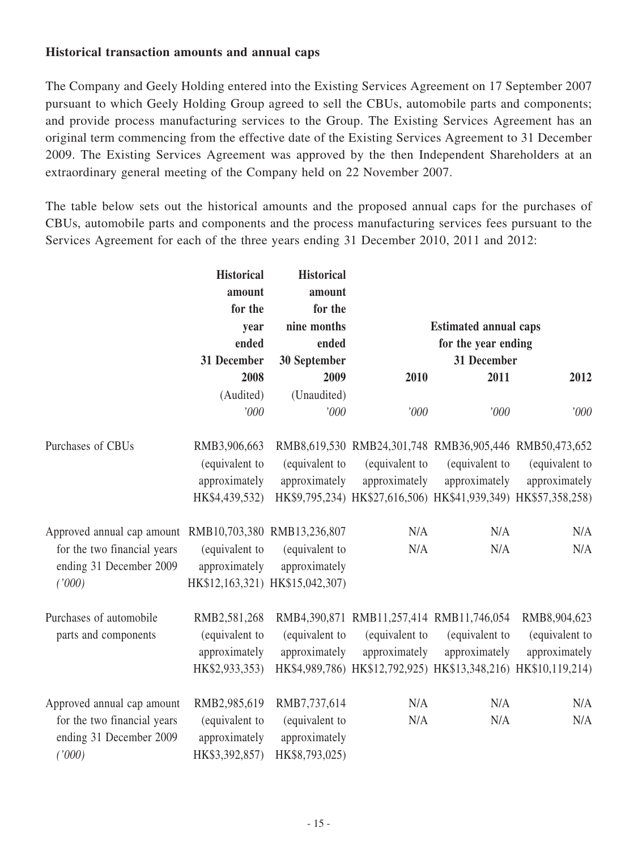### **Historical transaction amounts and annual caps**

The Company and Geely Holding entered into the Existing Services Agreement on 17 September 2007 pursuant to which Geely Holding Group agreed to sell the CBUs, automobile parts and components; and provide process manufacturing services to the Group. The Existing Services Agreement has an original term commencing from the effective date of the Existing Services Agreement to 31 December 2009. The Existing Services Agreement was approved by the then Independent Shareholders at an extraordinary general meeting of the Company held on 22 November 2007.

The table below sets out the historical amounts and the proposed annual caps for the purchases of CBUs, automobile parts and components and the process manufacturing services fees pursuant to the Services Agreement for each of the three years ending 31 December 2010, 2011 and 2012:

|                                                        | <b>Historical</b>               | <b>Historical</b> |                                                        |                              |                                                                |
|--------------------------------------------------------|---------------------------------|-------------------|--------------------------------------------------------|------------------------------|----------------------------------------------------------------|
|                                                        | amount                          | amount            |                                                        |                              |                                                                |
|                                                        | for the                         | for the           |                                                        |                              |                                                                |
|                                                        | year                            | nine months       |                                                        | <b>Estimated annual caps</b> |                                                                |
|                                                        | ended<br>ended                  |                   |                                                        | for the year ending          |                                                                |
|                                                        | 31 December                     | 30 September      |                                                        | 31 December                  |                                                                |
|                                                        | 2008                            | 2009              | 2010                                                   | 2011                         | 2012                                                           |
|                                                        | (Audited)                       | (Unaudited)       |                                                        |                              |                                                                |
|                                                        | '000                            | '000              | '000                                                   | '000                         | '000                                                           |
| Purchases of CBUs                                      | RMB3,906,663                    |                   | RMB8,619,530 RMB24,301,748 RMB36,905,446 RMB50,473,652 |                              |                                                                |
|                                                        | (equivalent to                  | (equivalent to    | (equivalent to                                         | (equivalent to               | (equivalent to                                                 |
|                                                        | approximately                   | approximately     | approximately                                          | approximately                | approximately                                                  |
|                                                        | HK\$4,439,532)                  |                   |                                                        |                              | HK\$9,795,234) HK\$27,616,506) HK\$41,939,349) HK\$57,358,258) |
| Approved annual cap amount RMB10,703,380 RMB13,236,807 |                                 |                   | N/A                                                    | N/A                          | N/A                                                            |
| for the two financial years                            | (equivalent to                  | (equivalent to    | N/A                                                    | N/A                          | N/A                                                            |
| ending 31 December 2009                                | approximately                   | approximately     |                                                        |                              |                                                                |
| (1000)                                                 | HK\$12,163,321) HK\$15,042,307) |                   |                                                        |                              |                                                                |
| Purchases of automobile                                | RMB2,581,268                    |                   | RMB4,390,871 RMB11,257,414 RMB11,746,054               |                              | RMB8,904,623                                                   |
| parts and components                                   | (equivalent to                  | (equivalent to    | (equivalent to                                         | (equivalent to               | (equivalent to                                                 |
|                                                        | approximately                   | approximately     | approximately                                          | approximately                | approximately                                                  |
|                                                        | HK\$2,933,353)                  |                   |                                                        |                              | HK\$4,989,786) HK\$12,792,925) HK\$13,348,216) HK\$10,119,214) |
| Approved annual cap amount                             | RMB2,985,619                    | RMB7,737,614      | N/A                                                    | N/A                          | N/A                                                            |
| for the two financial years                            | (equivalent to                  | (equivalent to    | N/A                                                    | N/A                          | N/A                                                            |
| ending 31 December 2009                                | approximately                   | approximately     |                                                        |                              |                                                                |
| (1000)                                                 | HK\$3,392,857)                  | HK\$8,793,025)    |                                                        |                              |                                                                |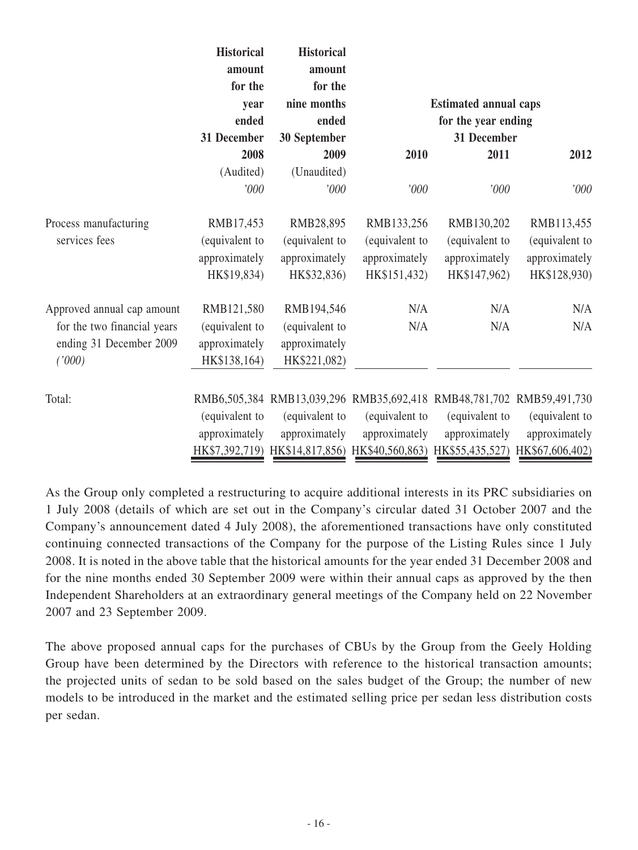|                             | <b>Historical</b> | <b>Historical</b> |                                                                                |                              |                |  |
|-----------------------------|-------------------|-------------------|--------------------------------------------------------------------------------|------------------------------|----------------|--|
|                             | amount            | amount            |                                                                                |                              |                |  |
|                             | for the           | for the           |                                                                                |                              |                |  |
|                             | year              | nine months       |                                                                                | <b>Estimated annual caps</b> |                |  |
|                             | ended             | ended             |                                                                                | for the year ending          |                |  |
|                             | 31 December       | 30 September      |                                                                                | 31 December                  |                |  |
|                             | 2008              | 2009              | 2010                                                                           | 2011                         | 2012           |  |
|                             | (Audited)         | (Unaudited)       |                                                                                |                              |                |  |
|                             | '000              | '000              | '000                                                                           | '000                         | '000           |  |
| Process manufacturing       | RMB17,453         | RMB28,895         | RMB133,256                                                                     | RMB130,202                   | RMB113,455     |  |
| services fees               | (equivalent to    | (equivalent to    | (equivalent to                                                                 | (equivalent to               | (equivalent to |  |
|                             | approximately     | approximately     | approximately                                                                  | approximately                | approximately  |  |
|                             | HK\$19,834)       | HK\$32,836)       | HK\$151,432)                                                                   | HK\$147,962)                 | HK\$128,930)   |  |
| Approved annual cap amount  | RMB121,580        | RMB194,546        | N/A                                                                            | N/A                          | N/A            |  |
| for the two financial years | (equivalent to    | (equivalent to    | N/A                                                                            | N/A                          | N/A            |  |
| ending 31 December 2009     | approximately     | approximately     |                                                                                |                              |                |  |
| ('000)                      | HK\$138,164)      | HK\$221,082)      |                                                                                |                              |                |  |
| Total:                      |                   |                   | RMB6,505,384 RMB13,039,296 RMB35,692,418 RMB48,781,702 RMB59,491,730           |                              |                |  |
|                             | (equivalent to    | (equivalent to    | (equivalent to                                                                 | (equivalent to               | (equivalent to |  |
|                             | approximately     | approximately     | approximately                                                                  | approximately                | approximately  |  |
|                             |                   |                   | HK\$7,392,719) HK\$14,817,856) HK\$40,560,863) HK\$55,435,527) HK\$67,606,402) |                              |                |  |

As the Group only completed a restructuring to acquire additional interests in its PRC subsidiaries on 1 July 2008 (details of which are set out in the Company's circular dated 31 October 2007 and the Company's announcement dated 4 July 2008), the aforementioned transactions have only constituted continuing connected transactions of the Company for the purpose of the Listing Rules since 1 July 2008. It is noted in the above table that the historical amounts for the year ended 31 December 2008 and for the nine months ended 30 September 2009 were within their annual caps as approved by the then Independent Shareholders at an extraordinary general meetings of the Company held on 22 November 2007 and 23 September 2009.

The above proposed annual caps for the purchases of CBUs by the Group from the Geely Holding Group have been determined by the Directors with reference to the historical transaction amounts; the projected units of sedan to be sold based on the sales budget of the Group; the number of new models to be introduced in the market and the estimated selling price per sedan less distribution costs per sedan.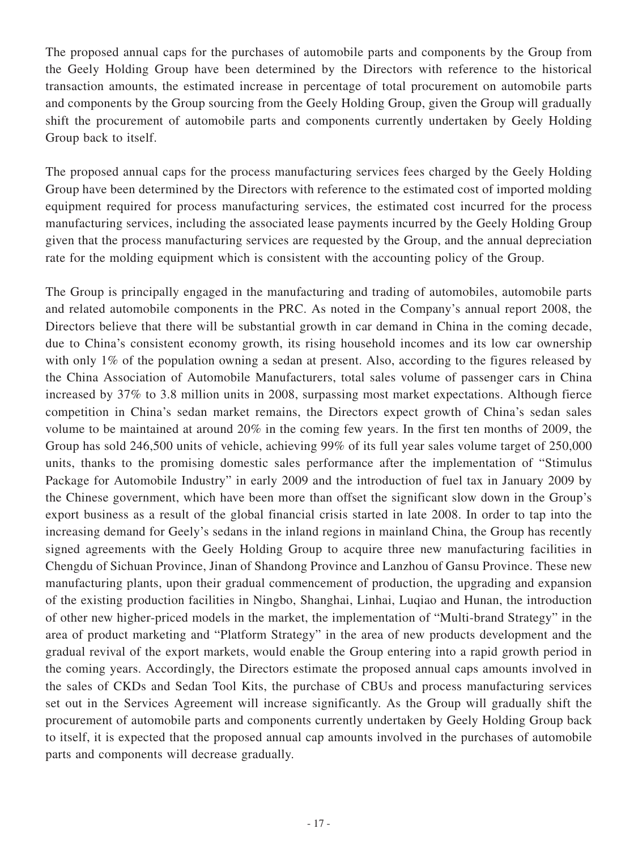The proposed annual caps for the purchases of automobile parts and components by the Group from the Geely Holding Group have been determined by the Directors with reference to the historical transaction amounts, the estimated increase in percentage of total procurement on automobile parts and components by the Group sourcing from the Geely Holding Group, given the Group will gradually shift the procurement of automobile parts and components currently undertaken by Geely Holding Group back to itself.

The proposed annual caps for the process manufacturing services fees charged by the Geely Holding Group have been determined by the Directors with reference to the estimated cost of imported molding equipment required for process manufacturing services, the estimated cost incurred for the process manufacturing services, including the associated lease payments incurred by the Geely Holding Group given that the process manufacturing services are requested by the Group, and the annual depreciation rate for the molding equipment which is consistent with the accounting policy of the Group.

The Group is principally engaged in the manufacturing and trading of automobiles, automobile parts and related automobile components in the PRC. As noted in the Company's annual report 2008, the Directors believe that there will be substantial growth in car demand in China in the coming decade, due to China's consistent economy growth, its rising household incomes and its low car ownership with only 1% of the population owning a sedan at present. Also, according to the figures released by the China Association of Automobile Manufacturers, total sales volume of passenger cars in China increased by 37% to 3.8 million units in 2008, surpassing most market expectations. Although fierce competition in China's sedan market remains, the Directors expect growth of China's sedan sales volume to be maintained at around 20% in the coming few years. In the first ten months of 2009, the Group has sold 246,500 units of vehicle, achieving 99% of its full year sales volume target of 250,000 units, thanks to the promising domestic sales performance after the implementation of "Stimulus Package for Automobile Industry" in early 2009 and the introduction of fuel tax in January 2009 by the Chinese government, which have been more than offset the significant slow down in the Group's export business as a result of the global financial crisis started in late 2008. In order to tap into the increasing demand for Geely's sedans in the inland regions in mainland China, the Group has recently signed agreements with the Geely Holding Group to acquire three new manufacturing facilities in Chengdu of Sichuan Province, Jinan of Shandong Province and Lanzhou of Gansu Province. These new manufacturing plants, upon their gradual commencement of production, the upgrading and expansion of the existing production facilities in Ningbo, Shanghai, Linhai, Luqiao and Hunan, the introduction of other new higher-priced models in the market, the implementation of "Multi-brand Strategy" in the area of product marketing and "Platform Strategy" in the area of new products development and the gradual revival of the export markets, would enable the Group entering into a rapid growth period in the coming years. Accordingly, the Directors estimate the proposed annual caps amounts involved in the sales of CKDs and Sedan Tool Kits, the purchase of CBUs and process manufacturing services set out in the Services Agreement will increase significantly. As the Group will gradually shift the procurement of automobile parts and components currently undertaken by Geely Holding Group back to itself, it is expected that the proposed annual cap amounts involved in the purchases of automobile parts and components will decrease gradually.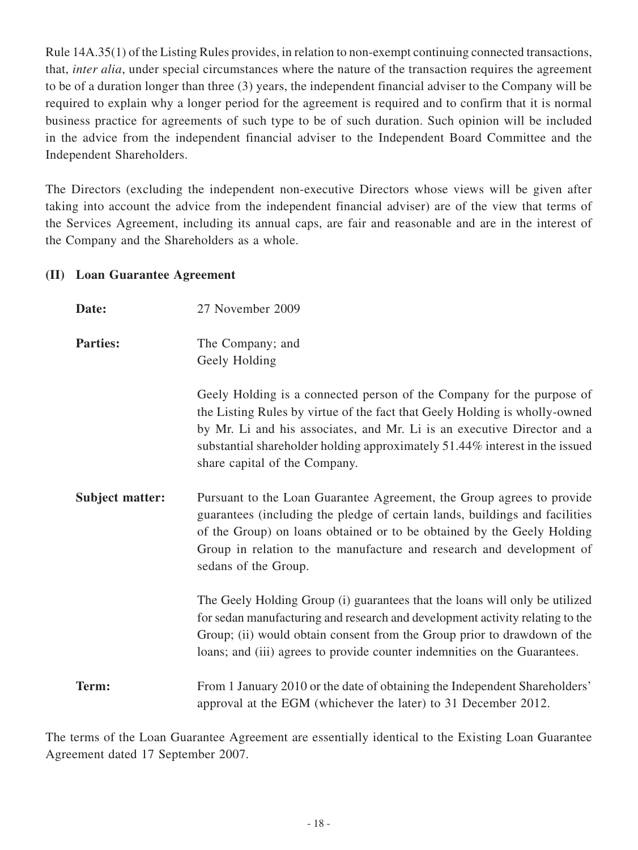Rule 14A.35(1) of the Listing Rules provides, in relation to non-exempt continuing connected transactions, that, *inter alia*, under special circumstances where the nature of the transaction requires the agreement to be of a duration longer than three (3) years, the independent financial adviser to the Company will be required to explain why a longer period for the agreement is required and to confirm that it is normal business practice for agreements of such type to be of such duration. Such opinion will be included in the advice from the independent financial adviser to the Independent Board Committee and the Independent Shareholders.

The Directors (excluding the independent non-executive Directors whose views will be given after taking into account the advice from the independent financial adviser) are of the view that terms of the Services Agreement, including its annual caps, are fair and reasonable and are in the interest of the Company and the Shareholders as a whole.

## **(II) Loan Guarantee Agreement**

| Date:                  | 27 November 2009                                                                                                                                                                                                                                                                                                                               |
|------------------------|------------------------------------------------------------------------------------------------------------------------------------------------------------------------------------------------------------------------------------------------------------------------------------------------------------------------------------------------|
| <b>Parties:</b>        | The Company; and<br>Geely Holding                                                                                                                                                                                                                                                                                                              |
|                        | Geely Holding is a connected person of the Company for the purpose of<br>the Listing Rules by virtue of the fact that Geely Holding is wholly-owned<br>by Mr. Li and his associates, and Mr. Li is an executive Director and a<br>substantial shareholder holding approximately 51.44% interest in the issued<br>share capital of the Company. |
| <b>Subject matter:</b> | Pursuant to the Loan Guarantee Agreement, the Group agrees to provide<br>guarantees (including the pledge of certain lands, buildings and facilities<br>of the Group) on loans obtained or to be obtained by the Geely Holding<br>Group in relation to the manufacture and research and development of<br>sedans of the Group.                 |
|                        | The Geely Holding Group (i) guarantees that the loans will only be utilized<br>for sedan manufacturing and research and development activity relating to the<br>Group; (ii) would obtain consent from the Group prior to drawdown of the<br>loans; and (iii) agrees to provide counter indemnities on the Guarantees.                          |
| Term:                  | From 1 January 2010 or the date of obtaining the Independent Shareholders'<br>approval at the EGM (whichever the later) to 31 December 2012.                                                                                                                                                                                                   |

The terms of the Loan Guarantee Agreement are essentially identical to the Existing Loan Guarantee Agreement dated 17 September 2007.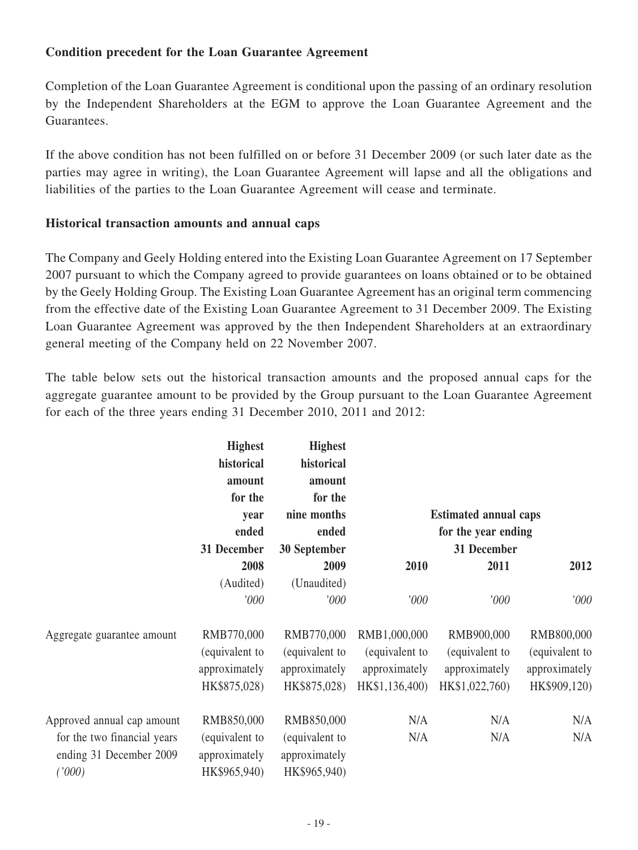## **Condition precedent for the Loan Guarantee Agreement**

Completion of the Loan Guarantee Agreement is conditional upon the passing of an ordinary resolution by the Independent Shareholders at the EGM to approve the Loan Guarantee Agreement and the Guarantees.

If the above condition has not been fulfilled on or before 31 December 2009 (or such later date as the parties may agree in writing), the Loan Guarantee Agreement will lapse and all the obligations and liabilities of the parties to the Loan Guarantee Agreement will cease and terminate.

#### **Historical transaction amounts and annual caps**

The Company and Geely Holding entered into the Existing Loan Guarantee Agreement on 17 September 2007 pursuant to which the Company agreed to provide guarantees on loans obtained or to be obtained by the Geely Holding Group. The Existing Loan Guarantee Agreement has an original term commencing from the effective date of the Existing Loan Guarantee Agreement to 31 December 2009. The Existing Loan Guarantee Agreement was approved by the then Independent Shareholders at an extraordinary general meeting of the Company held on 22 November 2007.

The table below sets out the historical transaction amounts and the proposed annual caps for the aggregate guarantee amount to be provided by the Group pursuant to the Loan Guarantee Agreement for each of the three years ending 31 December 2010, 2011 and 2012:

|                             | <b>Highest</b>               | <b>Highest</b> |                |                              |                |  |
|-----------------------------|------------------------------|----------------|----------------|------------------------------|----------------|--|
|                             | historical                   |                | historical     |                              |                |  |
|                             | amount                       | amount         |                |                              |                |  |
|                             | for the                      | for the        |                |                              |                |  |
|                             | year<br>ended<br>31 December | nine months    |                | <b>Estimated annual caps</b> |                |  |
|                             |                              | ended          |                | for the year ending          |                |  |
|                             |                              | 30 September   |                | 31 December                  |                |  |
|                             | 2008                         | 2009           | 2010           | 2011                         | 2012           |  |
|                             | (Audited)                    | (Unaudited)    |                |                              |                |  |
|                             | '000                         | 000'           | '000           | '000                         | '000           |  |
| Aggregate guarantee amount  | RMB770,000                   | RMB770,000     | RMB1,000,000   | RMB900,000                   | RMB800,000     |  |
|                             | (equivalent to               | (equivalent to | (equivalent to | (equivalent to               | (equivalent to |  |
|                             | approximately                | approximately  | approximately  | approximately                | approximately  |  |
|                             | HK\$875,028)                 | HK\$875,028)   | HK\$1,136,400) | HK\$1,022,760)               | HK\$909,120)   |  |
| Approved annual cap amount  | RMB850,000                   | RMB850,000     | N/A            | N/A                          | N/A            |  |
| for the two financial years | (equivalent to               | (equivalent to | N/A            | N/A                          | N/A            |  |
| ending 31 December 2009     | approximately                | approximately  |                |                              |                |  |
| (000)                       | HK\$965,940)                 | HK\$965,940)   |                |                              |                |  |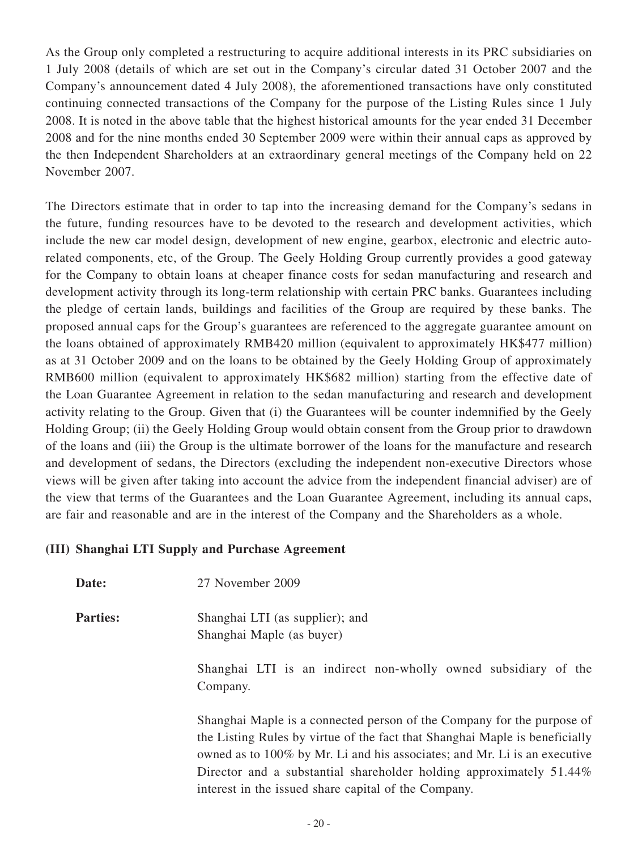As the Group only completed a restructuring to acquire additional interests in its PRC subsidiaries on 1 July 2008 (details of which are set out in the Company's circular dated 31 October 2007 and the Company's announcement dated 4 July 2008), the aforementioned transactions have only constituted continuing connected transactions of the Company for the purpose of the Listing Rules since 1 July 2008. It is noted in the above table that the highest historical amounts for the year ended 31 December 2008 and for the nine months ended 30 September 2009 were within their annual caps as approved by the then Independent Shareholders at an extraordinary general meetings of the Company held on 22 November 2007.

The Directors estimate that in order to tap into the increasing demand for the Company's sedans in the future, funding resources have to be devoted to the research and development activities, which include the new car model design, development of new engine, gearbox, electronic and electric autorelated components, etc, of the Group. The Geely Holding Group currently provides a good gateway for the Company to obtain loans at cheaper finance costs for sedan manufacturing and research and development activity through its long-term relationship with certain PRC banks. Guarantees including the pledge of certain lands, buildings and facilities of the Group are required by these banks. The proposed annual caps for the Group's guarantees are referenced to the aggregate guarantee amount on the loans obtained of approximately RMB420 million (equivalent to approximately HK\$477 million) as at 31 October 2009 and on the loans to be obtained by the Geely Holding Group of approximately RMB600 million (equivalent to approximately HK\$682 million) starting from the effective date of the Loan Guarantee Agreement in relation to the sedan manufacturing and research and development activity relating to the Group. Given that (i) the Guarantees will be counter indemnified by the Geely Holding Group; (ii) the Geely Holding Group would obtain consent from the Group prior to drawdown of the loans and (iii) the Group is the ultimate borrower of the loans for the manufacture and research and development of sedans, the Directors (excluding the independent non-executive Directors whose views will be given after taking into account the advice from the independent financial adviser) are of the view that terms of the Guarantees and the Loan Guarantee Agreement, including its annual caps, are fair and reasonable and are in the interest of the Company and the Shareholders as a whole.

#### **(III) Shanghai LTI Supply and Purchase Agreement**

| <b>Date:</b> | 27 November 2009 |
|--------------|------------------|
|--------------|------------------|

**Parties:** Shanghai LTI (as supplier); and Shanghai Maple (as buyer)

> Shanghai LTI is an indirect non-wholly owned subsidiary of the Company.

> Shanghai Maple is a connected person of the Company for the purpose of the Listing Rules by virtue of the fact that Shanghai Maple is beneficially owned as to 100% by Mr. Li and his associates; and Mr. Li is an executive Director and a substantial shareholder holding approximately 51.44% interest in the issued share capital of the Company.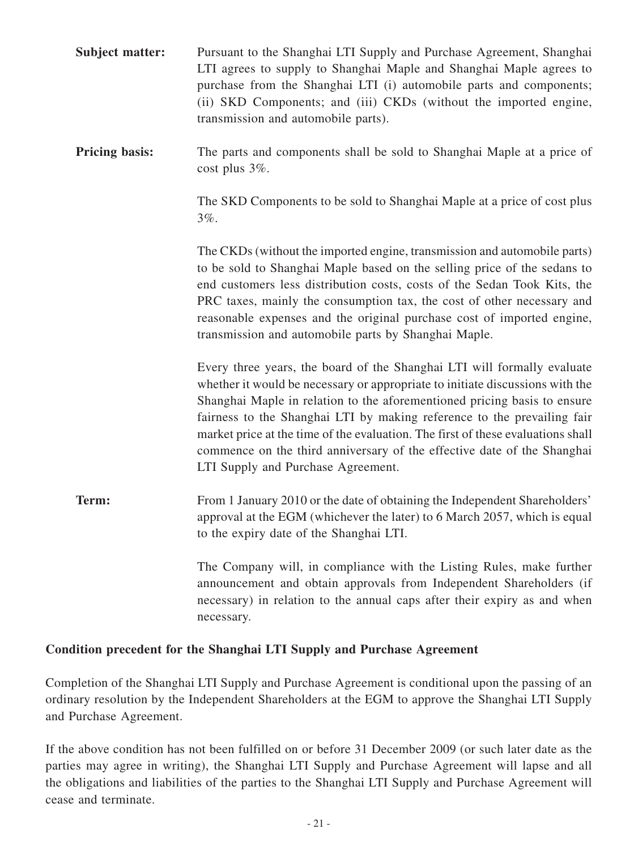| <b>Subject matter:</b> | Pursuant to the Shanghai LTI Supply and Purchase Agreement, Shanghai<br>LTI agrees to supply to Shanghai Maple and Shanghai Maple agrees to<br>purchase from the Shanghai LTI (i) automobile parts and components;<br>(ii) SKD Components; and (iii) CKDs (without the imported engine,<br>transmission and automobile parts).                                                                                                                                                                                       |
|------------------------|----------------------------------------------------------------------------------------------------------------------------------------------------------------------------------------------------------------------------------------------------------------------------------------------------------------------------------------------------------------------------------------------------------------------------------------------------------------------------------------------------------------------|
| <b>Pricing basis:</b>  | The parts and components shall be sold to Shanghai Maple at a price of<br>cost plus $3\%$ .                                                                                                                                                                                                                                                                                                                                                                                                                          |
|                        | The SKD Components to be sold to Shanghai Maple at a price of cost plus<br>$3\%$ .                                                                                                                                                                                                                                                                                                                                                                                                                                   |
|                        | The CKDs (without the imported engine, transmission and automobile parts)<br>to be sold to Shanghai Maple based on the selling price of the sedans to<br>end customers less distribution costs, costs of the Sedan Took Kits, the<br>PRC taxes, mainly the consumption tax, the cost of other necessary and<br>reasonable expenses and the original purchase cost of imported engine,<br>transmission and automobile parts by Shanghai Maple.                                                                        |
|                        | Every three years, the board of the Shanghai LTI will formally evaluate<br>whether it would be necessary or appropriate to initiate discussions with the<br>Shanghai Maple in relation to the aforementioned pricing basis to ensure<br>fairness to the Shanghai LTI by making reference to the prevailing fair<br>market price at the time of the evaluation. The first of these evaluations shall<br>commence on the third anniversary of the effective date of the Shanghai<br>LTI Supply and Purchase Agreement. |
| Term:                  | From 1 January 2010 or the date of obtaining the Independent Shareholders'<br>approval at the EGM (whichever the later) to 6 March 2057, which is equal<br>to the expiry date of the Shanghai LTI.                                                                                                                                                                                                                                                                                                                   |
|                        | The Company will, in compliance with the Listing Rules, make further<br>announcement and obtain approvals from Independent Shareholders (if<br>necessary) in relation to the annual caps after their expiry as and when<br>necessary.                                                                                                                                                                                                                                                                                |

## **Condition precedent for the Shanghai LTI Supply and Purchase Agreement**

Completion of the Shanghai LTI Supply and Purchase Agreement is conditional upon the passing of an ordinary resolution by the Independent Shareholders at the EGM to approve the Shanghai LTI Supply and Purchase Agreement.

If the above condition has not been fulfilled on or before 31 December 2009 (or such later date as the parties may agree in writing), the Shanghai LTI Supply and Purchase Agreement will lapse and all the obligations and liabilities of the parties to the Shanghai LTI Supply and Purchase Agreement will cease and terminate.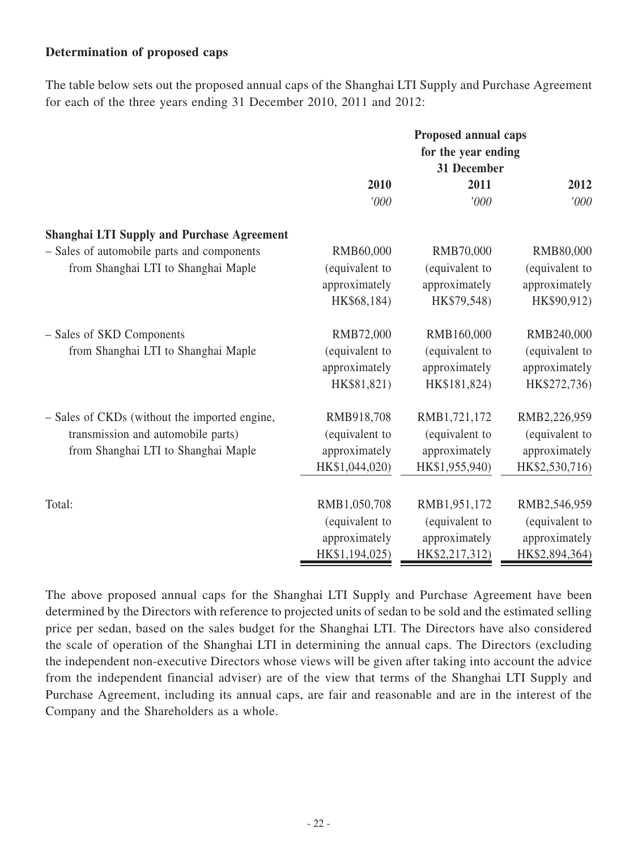## **Determination of proposed caps**

The table below sets out the proposed annual caps of the Shanghai LTI Supply and Purchase Agreement for each of the three years ending 31 December 2010, 2011 and 2012:

|                                                   | Proposed annual caps<br>for the year ending<br>31 December |                |                |
|---------------------------------------------------|------------------------------------------------------------|----------------|----------------|
|                                                   | 2010                                                       | 2011           | 2012           |
|                                                   | '000                                                       | '000           | 000'           |
| <b>Shanghai LTI Supply and Purchase Agreement</b> |                                                            |                |                |
| - Sales of automobile parts and components        | RMB60,000                                                  | RMB70,000      | RMB80,000      |
| from Shanghai LTI to Shanghai Maple               | (equivalent to                                             | (equivalent to | (equivalent to |
|                                                   | approximately                                              | approximately  | approximately  |
|                                                   | HK\$68,184)                                                | HK\$79,548)    | HK\$90,912)    |
| - Sales of SKD Components                         | RMB72,000                                                  | RMB160,000     | RMB240,000     |
| from Shanghai LTI to Shanghai Maple               | (equivalent to                                             | (equivalent to | (equivalent to |
|                                                   | approximately                                              | approximately  | approximately  |
|                                                   | HK\$81,821)                                                | HK\$181,824)   | HK\$272,736)   |
| - Sales of CKDs (without the imported engine,     | RMB918,708                                                 | RMB1,721,172   | RMB2,226,959   |
| transmission and automobile parts)                | (equivalent to                                             | (equivalent to | (equivalent to |
| from Shanghai LTI to Shanghai Maple               | approximately                                              | approximately  | approximately  |
|                                                   | HK\$1,044,020)                                             | HK\$1,955,940) | HK\$2,530,716) |
| Total:                                            | RMB1,050,708                                               | RMB1,951,172   | RMB2,546,959   |
|                                                   | (equivalent to                                             | (equivalent to | (equivalent to |
|                                                   | approximately                                              | approximately  | approximately  |
|                                                   | HK\$1,194,025)                                             | HK\$2,217,312) | HK\$2,894,364) |
|                                                   |                                                            |                |                |

The above proposed annual caps for the Shanghai LTI Supply and Purchase Agreement have been determined by the Directors with reference to projected units of sedan to be sold and the estimated selling price per sedan, based on the sales budget for the Shanghai LTI. The Directors have also considered the scale of operation of the Shanghai LTI in determining the annual caps. The Directors (excluding the independent non-executive Directors whose views will be given after taking into account the advice from the independent financial adviser) are of the view that terms of the Shanghai LTI Supply and Purchase Agreement, including its annual caps, are fair and reasonable and are in the interest of the Company and the Shareholders as a whole.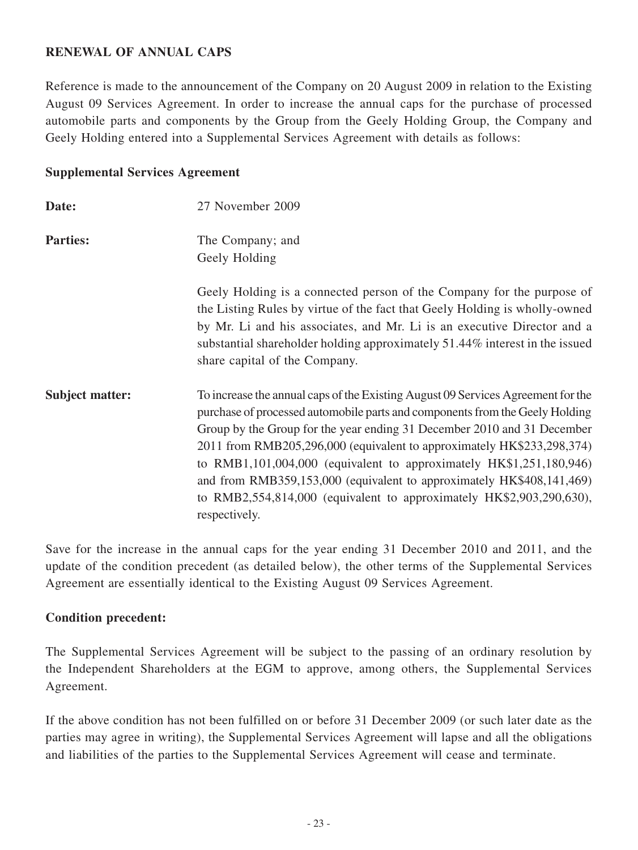### **RENEWAL OF ANNUAL CAPS**

Reference is made to the announcement of the Company on 20 August 2009 in relation to the Existing August 09 Services Agreement. In order to increase the annual caps for the purchase of processed automobile parts and components by the Group from the Geely Holding Group, the Company and Geely Holding entered into a Supplemental Services Agreement with details as follows:

#### **Supplemental Services Agreement**

| Date:                  | 27 November 2009                                                                                                                                                                                                                                                                                                                                                                                                                                                                                                                                                 |
|------------------------|------------------------------------------------------------------------------------------------------------------------------------------------------------------------------------------------------------------------------------------------------------------------------------------------------------------------------------------------------------------------------------------------------------------------------------------------------------------------------------------------------------------------------------------------------------------|
| <b>Parties:</b>        | The Company; and<br>Geely Holding                                                                                                                                                                                                                                                                                                                                                                                                                                                                                                                                |
|                        | Geely Holding is a connected person of the Company for the purpose of<br>the Listing Rules by virtue of the fact that Geely Holding is wholly-owned<br>by Mr. Li and his associates, and Mr. Li is an executive Director and a<br>substantial shareholder holding approximately 51.44% interest in the issued<br>share capital of the Company.                                                                                                                                                                                                                   |
| <b>Subject matter:</b> | To increase the annual caps of the Existing August 09 Services Agreement for the<br>purchase of processed automobile parts and components from the Geely Holding<br>Group by the Group for the year ending 31 December 2010 and 31 December<br>2011 from RMB205,296,000 (equivalent to approximately HK\$233,298,374)<br>to RMB1,101,004,000 (equivalent to approximately $HK$1,251,180,946$ )<br>and from RMB359,153,000 (equivalent to approximately HK\$408,141,469)<br>to RMB2,554,814,000 (equivalent to approximately HK\$2,903,290,630),<br>respectively. |

Save for the increase in the annual caps for the year ending 31 December 2010 and 2011, and the update of the condition precedent (as detailed below), the other terms of the Supplemental Services Agreement are essentially identical to the Existing August 09 Services Agreement.

#### **Condition precedent:**

The Supplemental Services Agreement will be subject to the passing of an ordinary resolution by the Independent Shareholders at the EGM to approve, among others, the Supplemental Services Agreement.

If the above condition has not been fulfilled on or before 31 December 2009 (or such later date as the parties may agree in writing), the Supplemental Services Agreement will lapse and all the obligations and liabilities of the parties to the Supplemental Services Agreement will cease and terminate.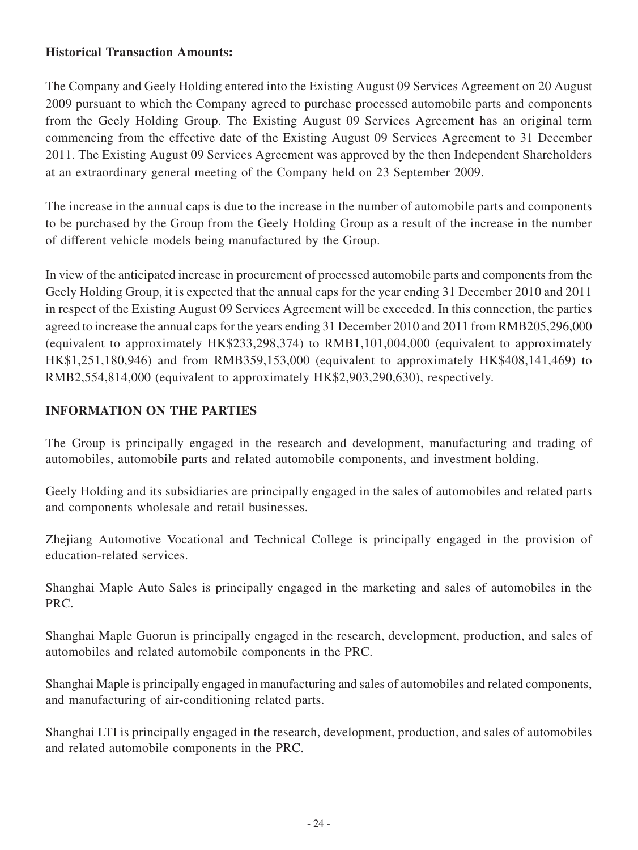## **Historical Transaction Amounts:**

The Company and Geely Holding entered into the Existing August 09 Services Agreement on 20 August 2009 pursuant to which the Company agreed to purchase processed automobile parts and components from the Geely Holding Group. The Existing August 09 Services Agreement has an original term commencing from the effective date of the Existing August 09 Services Agreement to 31 December 2011. The Existing August 09 Services Agreement was approved by the then Independent Shareholders at an extraordinary general meeting of the Company held on 23 September 2009.

The increase in the annual caps is due to the increase in the number of automobile parts and components to be purchased by the Group from the Geely Holding Group as a result of the increase in the number of different vehicle models being manufactured by the Group.

In view of the anticipated increase in procurement of processed automobile parts and components from the Geely Holding Group, it is expected that the annual caps for the year ending 31 December 2010 and 2011 in respect of the Existing August 09 Services Agreement will be exceeded. In this connection, the parties agreed to increase the annual caps for the years ending 31 December 2010 and 2011 from RMB205,296,000 (equivalent to approximately HK\$233,298,374) to RMB1,101,004,000 (equivalent to approximately HK\$1,251,180,946) and from RMB359,153,000 (equivalent to approximately HK\$408,141,469) to RMB2,554,814,000 (equivalent to approximately HK\$2,903,290,630), respectively.

## **INFORMATION ON THE PARTIES**

The Group is principally engaged in the research and development, manufacturing and trading of automobiles, automobile parts and related automobile components, and investment holding.

Geely Holding and its subsidiaries are principally engaged in the sales of automobiles and related parts and components wholesale and retail businesses.

Zhejiang Automotive Vocational and Technical College is principally engaged in the provision of education-related services.

Shanghai Maple Auto Sales is principally engaged in the marketing and sales of automobiles in the PRC.

Shanghai Maple Guorun is principally engaged in the research, development, production, and sales of automobiles and related automobile components in the PRC.

Shanghai Maple is principally engaged in manufacturing and sales of automobiles and related components, and manufacturing of air-conditioning related parts.

Shanghai LTI is principally engaged in the research, development, production, and sales of automobiles and related automobile components in the PRC.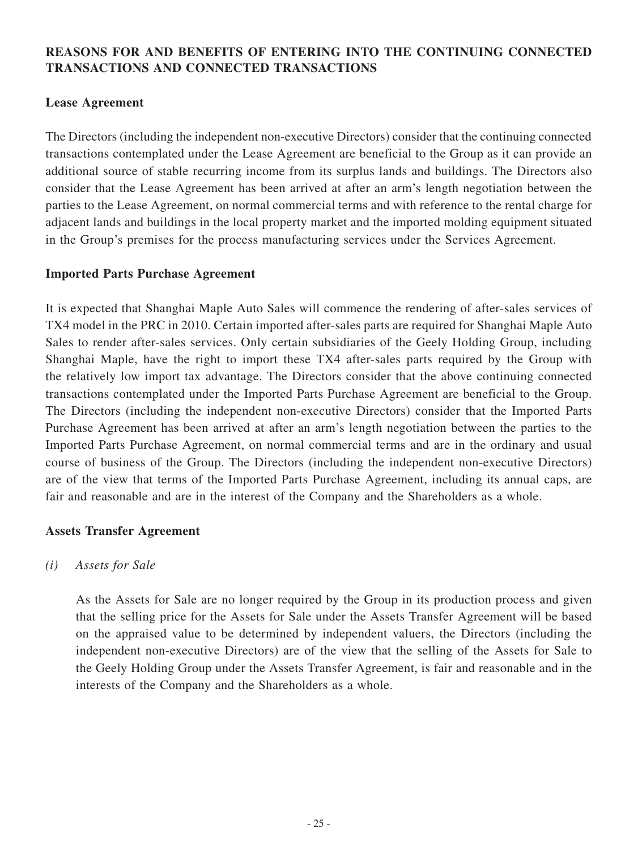## **REASONS FOR AND BENEFITS OF ENTERING INTO THE CONTINUING CONNECTED TRANSACTIONS AND CONNECTED TRANSACTIONS**

### **Lease Agreement**

The Directors (including the independent non-executive Directors) consider that the continuing connected transactions contemplated under the Lease Agreement are beneficial to the Group as it can provide an additional source of stable recurring income from its surplus lands and buildings. The Directors also consider that the Lease Agreement has been arrived at after an arm's length negotiation between the parties to the Lease Agreement, on normal commercial terms and with reference to the rental charge for adjacent lands and buildings in the local property market and the imported molding equipment situated in the Group's premises for the process manufacturing services under the Services Agreement.

#### **Imported Parts Purchase Agreement**

It is expected that Shanghai Maple Auto Sales will commence the rendering of after-sales services of TX4 model in the PRC in 2010. Certain imported after-sales parts are required for Shanghai Maple Auto Sales to render after-sales services. Only certain subsidiaries of the Geely Holding Group, including Shanghai Maple, have the right to import these TX4 after-sales parts required by the Group with the relatively low import tax advantage. The Directors consider that the above continuing connected transactions contemplated under the Imported Parts Purchase Agreement are beneficial to the Group. The Directors (including the independent non-executive Directors) consider that the Imported Parts Purchase Agreement has been arrived at after an arm's length negotiation between the parties to the Imported Parts Purchase Agreement, on normal commercial terms and are in the ordinary and usual course of business of the Group. The Directors (including the independent non-executive Directors) are of the view that terms of the Imported Parts Purchase Agreement, including its annual caps, are fair and reasonable and are in the interest of the Company and the Shareholders as a whole.

## **Assets Transfer Agreement**

#### *(i) Assets for Sale*

As the Assets for Sale are no longer required by the Group in its production process and given that the selling price for the Assets for Sale under the Assets Transfer Agreement will be based on the appraised value to be determined by independent valuers, the Directors (including the independent non-executive Directors) are of the view that the selling of the Assets for Sale to the Geely Holding Group under the Assets Transfer Agreement, is fair and reasonable and in the interests of the Company and the Shareholders as a whole.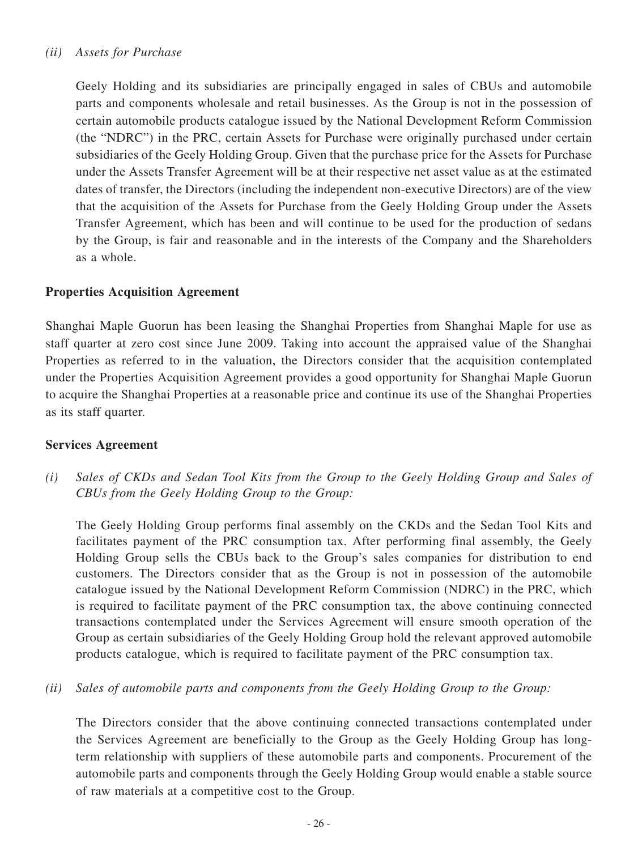#### *(ii) Assets for Purchase*

Geely Holding and its subsidiaries are principally engaged in sales of CBUs and automobile parts and components wholesale and retail businesses. As the Group is not in the possession of certain automobile products catalogue issued by the National Development Reform Commission (the "NDRC") in the PRC, certain Assets for Purchase were originally purchased under certain subsidiaries of the Geely Holding Group. Given that the purchase price for the Assets for Purchase under the Assets Transfer Agreement will be at their respective net asset value as at the estimated dates of transfer, the Directors (including the independent non-executive Directors) are of the view that the acquisition of the Assets for Purchase from the Geely Holding Group under the Assets Transfer Agreement, which has been and will continue to be used for the production of sedans by the Group, is fair and reasonable and in the interests of the Company and the Shareholders as a whole.

#### **Properties Acquisition Agreement**

Shanghai Maple Guorun has been leasing the Shanghai Properties from Shanghai Maple for use as staff quarter at zero cost since June 2009. Taking into account the appraised value of the Shanghai Properties as referred to in the valuation, the Directors consider that the acquisition contemplated under the Properties Acquisition Agreement provides a good opportunity for Shanghai Maple Guorun to acquire the Shanghai Properties at a reasonable price and continue its use of the Shanghai Properties as its staff quarter.

#### **Services Agreement**

*(i) Sales of CKDs and Sedan Tool Kits from the Group to the Geely Holding Group and Sales of CBUs from the Geely Holding Group to the Group:*

The Geely Holding Group performs final assembly on the CKDs and the Sedan Tool Kits and facilitates payment of the PRC consumption tax. After performing final assembly, the Geely Holding Group sells the CBUs back to the Group's sales companies for distribution to end customers. The Directors consider that as the Group is not in possession of the automobile catalogue issued by the National Development Reform Commission (NDRC) in the PRC, which is required to facilitate payment of the PRC consumption tax, the above continuing connected transactions contemplated under the Services Agreement will ensure smooth operation of the Group as certain subsidiaries of the Geely Holding Group hold the relevant approved automobile products catalogue, which is required to facilitate payment of the PRC consumption tax.

*(ii) Sales of automobile parts and components from the Geely Holding Group to the Group:*

The Directors consider that the above continuing connected transactions contemplated under the Services Agreement are beneficially to the Group as the Geely Holding Group has longterm relationship with suppliers of these automobile parts and components. Procurement of the automobile parts and components through the Geely Holding Group would enable a stable source of raw materials at a competitive cost to the Group.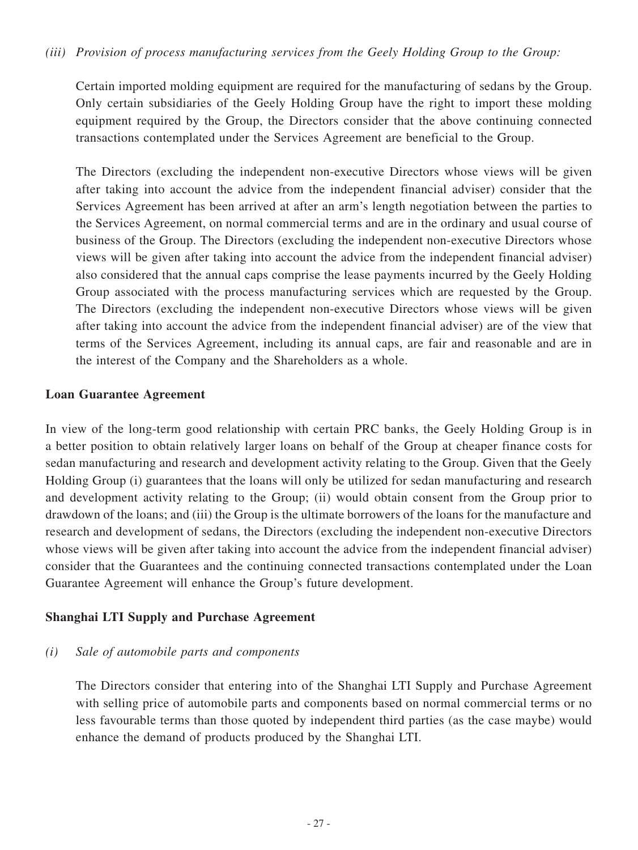Certain imported molding equipment are required for the manufacturing of sedans by the Group. Only certain subsidiaries of the Geely Holding Group have the right to import these molding equipment required by the Group, the Directors consider that the above continuing connected transactions contemplated under the Services Agreement are beneficial to the Group.

The Directors (excluding the independent non-executive Directors whose views will be given after taking into account the advice from the independent financial adviser) consider that the Services Agreement has been arrived at after an arm's length negotiation between the parties to the Services Agreement, on normal commercial terms and are in the ordinary and usual course of business of the Group. The Directors (excluding the independent non-executive Directors whose views will be given after taking into account the advice from the independent financial adviser) also considered that the annual caps comprise the lease payments incurred by the Geely Holding Group associated with the process manufacturing services which are requested by the Group. The Directors (excluding the independent non-executive Directors whose views will be given after taking into account the advice from the independent financial adviser) are of the view that terms of the Services Agreement, including its annual caps, are fair and reasonable and are in the interest of the Company and the Shareholders as a whole.

## **Loan Guarantee Agreement**

In view of the long-term good relationship with certain PRC banks, the Geely Holding Group is in a better position to obtain relatively larger loans on behalf of the Group at cheaper finance costs for sedan manufacturing and research and development activity relating to the Group. Given that the Geely Holding Group (i) guarantees that the loans will only be utilized for sedan manufacturing and research and development activity relating to the Group; (ii) would obtain consent from the Group prior to drawdown of the loans; and (iii) the Group is the ultimate borrowers of the loans for the manufacture and research and development of sedans, the Directors (excluding the independent non-executive Directors whose views will be given after taking into account the advice from the independent financial adviser) consider that the Guarantees and the continuing connected transactions contemplated under the Loan Guarantee Agreement will enhance the Group's future development.

## **Shanghai LTI Supply and Purchase Agreement**

## *(i) Sale of automobile parts and components*

The Directors consider that entering into of the Shanghai LTI Supply and Purchase Agreement with selling price of automobile parts and components based on normal commercial terms or no less favourable terms than those quoted by independent third parties (as the case maybe) would enhance the demand of products produced by the Shanghai LTI.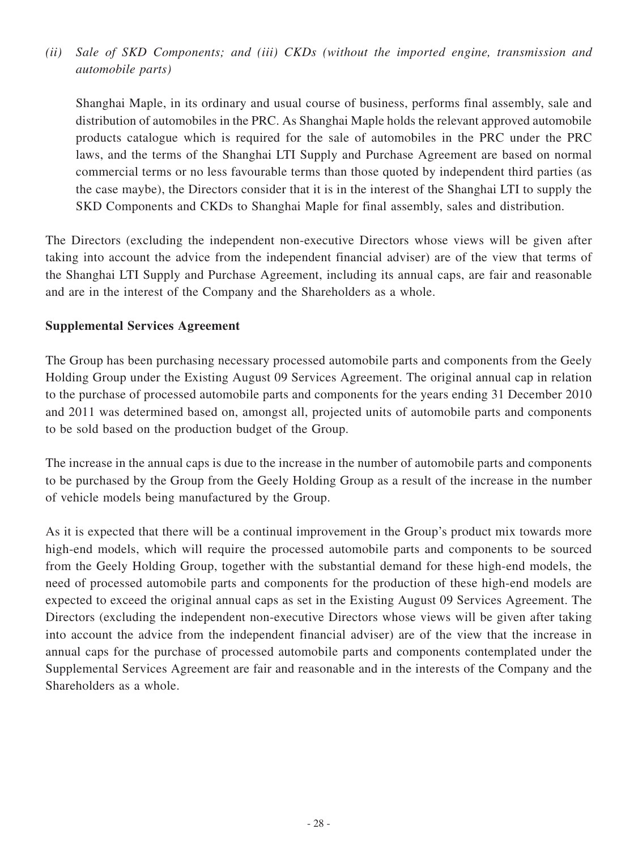*(ii) Sale of SKD Components; and (iii) CKDs (without the imported engine, transmission and automobile parts)*

Shanghai Maple, in its ordinary and usual course of business, performs final assembly, sale and distribution of automobiles in the PRC. As Shanghai Maple holds the relevant approved automobile products catalogue which is required for the sale of automobiles in the PRC under the PRC laws, and the terms of the Shanghai LTI Supply and Purchase Agreement are based on normal commercial terms or no less favourable terms than those quoted by independent third parties (as the case maybe), the Directors consider that it is in the interest of the Shanghai LTI to supply the SKD Components and CKDs to Shanghai Maple for final assembly, sales and distribution.

The Directors (excluding the independent non-executive Directors whose views will be given after taking into account the advice from the independent financial adviser) are of the view that terms of the Shanghai LTI Supply and Purchase Agreement, including its annual caps, are fair and reasonable and are in the interest of the Company and the Shareholders as a whole.

#### **Supplemental Services Agreement**

The Group has been purchasing necessary processed automobile parts and components from the Geely Holding Group under the Existing August 09 Services Agreement. The original annual cap in relation to the purchase of processed automobile parts and components for the years ending 31 December 2010 and 2011 was determined based on, amongst all, projected units of automobile parts and components to be sold based on the production budget of the Group.

The increase in the annual caps is due to the increase in the number of automobile parts and components to be purchased by the Group from the Geely Holding Group as a result of the increase in the number of vehicle models being manufactured by the Group.

As it is expected that there will be a continual improvement in the Group's product mix towards more high-end models, which will require the processed automobile parts and components to be sourced from the Geely Holding Group, together with the substantial demand for these high-end models, the need of processed automobile parts and components for the production of these high-end models are expected to exceed the original annual caps as set in the Existing August 09 Services Agreement. The Directors (excluding the independent non-executive Directors whose views will be given after taking into account the advice from the independent financial adviser) are of the view that the increase in annual caps for the purchase of processed automobile parts and components contemplated under the Supplemental Services Agreement are fair and reasonable and in the interests of the Company and the Shareholders as a whole.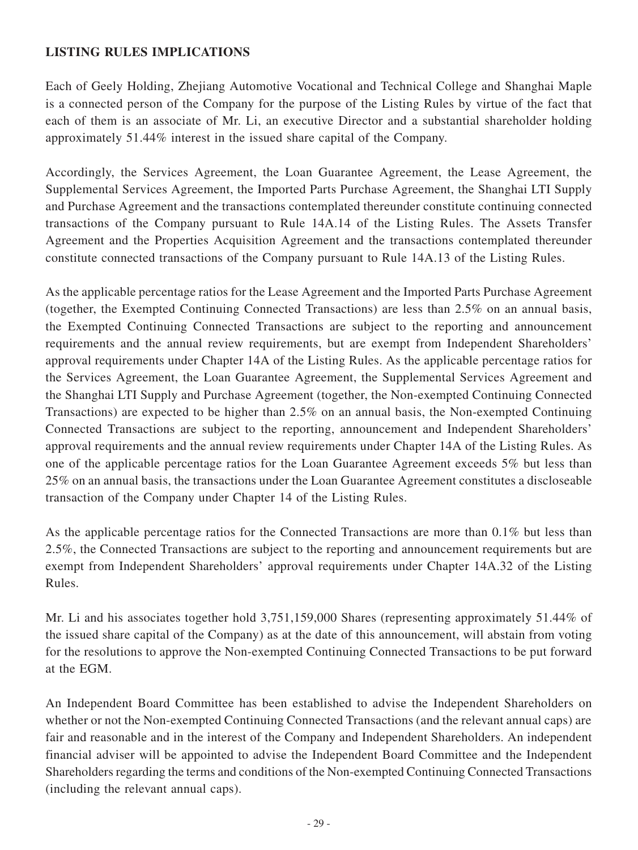## **LISTING RULES IMPLICATIONS**

Each of Geely Holding, Zhejiang Automotive Vocational and Technical College and Shanghai Maple is a connected person of the Company for the purpose of the Listing Rules by virtue of the fact that each of them is an associate of Mr. Li, an executive Director and a substantial shareholder holding approximately 51.44% interest in the issued share capital of the Company.

Accordingly, the Services Agreement, the Loan Guarantee Agreement, the Lease Agreement, the Supplemental Services Agreement, the Imported Parts Purchase Agreement, the Shanghai LTI Supply and Purchase Agreement and the transactions contemplated thereunder constitute continuing connected transactions of the Company pursuant to Rule 14A.14 of the Listing Rules. The Assets Transfer Agreement and the Properties Acquisition Agreement and the transactions contemplated thereunder constitute connected transactions of the Company pursuant to Rule 14A.13 of the Listing Rules.

As the applicable percentage ratios for the Lease Agreement and the Imported Parts Purchase Agreement (together, the Exempted Continuing Connected Transactions) are less than 2.5% on an annual basis, the Exempted Continuing Connected Transactions are subject to the reporting and announcement requirements and the annual review requirements, but are exempt from Independent Shareholders' approval requirements under Chapter 14A of the Listing Rules. As the applicable percentage ratios for the Services Agreement, the Loan Guarantee Agreement, the Supplemental Services Agreement and the Shanghai LTI Supply and Purchase Agreement (together, the Non-exempted Continuing Connected Transactions) are expected to be higher than 2.5% on an annual basis, the Non-exempted Continuing Connected Transactions are subject to the reporting, announcement and Independent Shareholders' approval requirements and the annual review requirements under Chapter 14A of the Listing Rules. As one of the applicable percentage ratios for the Loan Guarantee Agreement exceeds 5% but less than 25% on an annual basis, the transactions under the Loan Guarantee Agreement constitutes a discloseable transaction of the Company under Chapter 14 of the Listing Rules.

As the applicable percentage ratios for the Connected Transactions are more than 0.1% but less than 2.5%, the Connected Transactions are subject to the reporting and announcement requirements but are exempt from Independent Shareholders' approval requirements under Chapter 14A.32 of the Listing Rules.

Mr. Li and his associates together hold 3,751,159,000 Shares (representing approximately 51.44% of the issued share capital of the Company) as at the date of this announcement, will abstain from voting for the resolutions to approve the Non-exempted Continuing Connected Transactions to be put forward at the EGM.

An Independent Board Committee has been established to advise the Independent Shareholders on whether or not the Non-exempted Continuing Connected Transactions (and the relevant annual caps) are fair and reasonable and in the interest of the Company and Independent Shareholders. An independent financial adviser will be appointed to advise the Independent Board Committee and the Independent Shareholders regarding the terms and conditions of the Non-exempted Continuing Connected Transactions (including the relevant annual caps).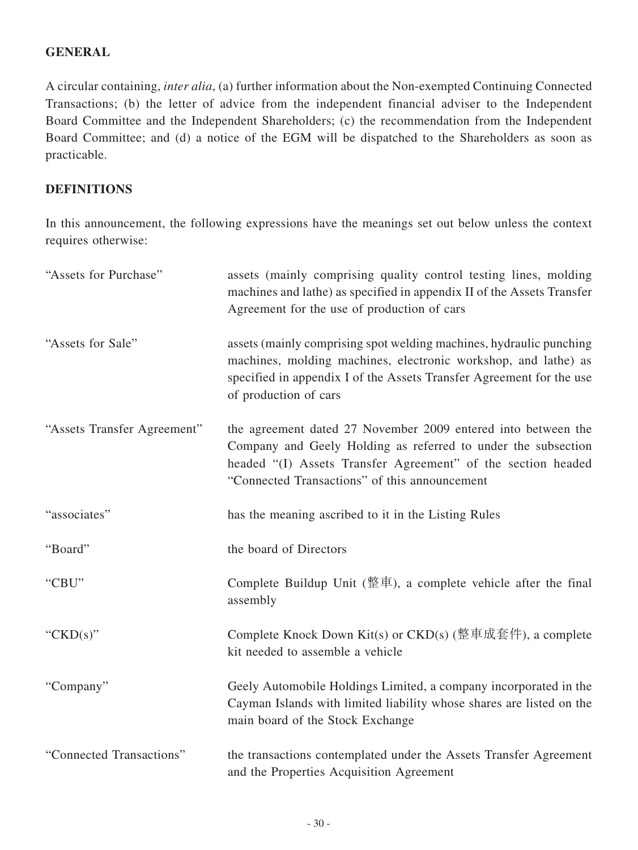## **GENERAL**

A circular containing, *inter alia*, (a) further information about the Non-exempted Continuing Connected Transactions; (b) the letter of advice from the independent financial adviser to the Independent Board Committee and the Independent Shareholders; (c) the recommendation from the Independent Board Committee; and (d) a notice of the EGM will be dispatched to the Shareholders as soon as practicable.

## **DEFINITIONS**

In this announcement, the following expressions have the meanings set out below unless the context requires otherwise:

| "Assets for Purchase"       | assets (mainly comprising quality control testing lines, molding<br>machines and lathe) as specified in appendix II of the Assets Transfer<br>Agreement for the use of production of cars                                                       |
|-----------------------------|-------------------------------------------------------------------------------------------------------------------------------------------------------------------------------------------------------------------------------------------------|
| "Assets for Sale"           | assets (mainly comprising spot welding machines, hydraulic punching<br>machines, molding machines, electronic workshop, and lathe) as<br>specified in appendix I of the Assets Transfer Agreement for the use<br>of production of cars          |
| "Assets Transfer Agreement" | the agreement dated 27 November 2009 entered into between the<br>Company and Geely Holding as referred to under the subsection<br>headed "(I) Assets Transfer Agreement" of the section headed<br>"Connected Transactions" of this announcement |
| "associates"                | has the meaning ascribed to it in the Listing Rules                                                                                                                                                                                             |
| "Board"                     | the board of Directors                                                                                                                                                                                                                          |
| "CBU"                       | Complete Buildup Unit (整車), a complete vehicle after the final<br>assembly                                                                                                                                                                      |
| " $CKD(s)$ "                | Complete Knock Down Kit(s) or $CKD(s)$ (整車成套件), a complete<br>kit needed to assemble a vehicle                                                                                                                                                  |
| "Company"                   | Geely Automobile Holdings Limited, a company incorporated in the<br>Cayman Islands with limited liability whose shares are listed on the<br>main board of the Stock Exchange                                                                    |
| "Connected Transactions"    | the transactions contemplated under the Assets Transfer Agreement<br>and the Properties Acquisition Agreement                                                                                                                                   |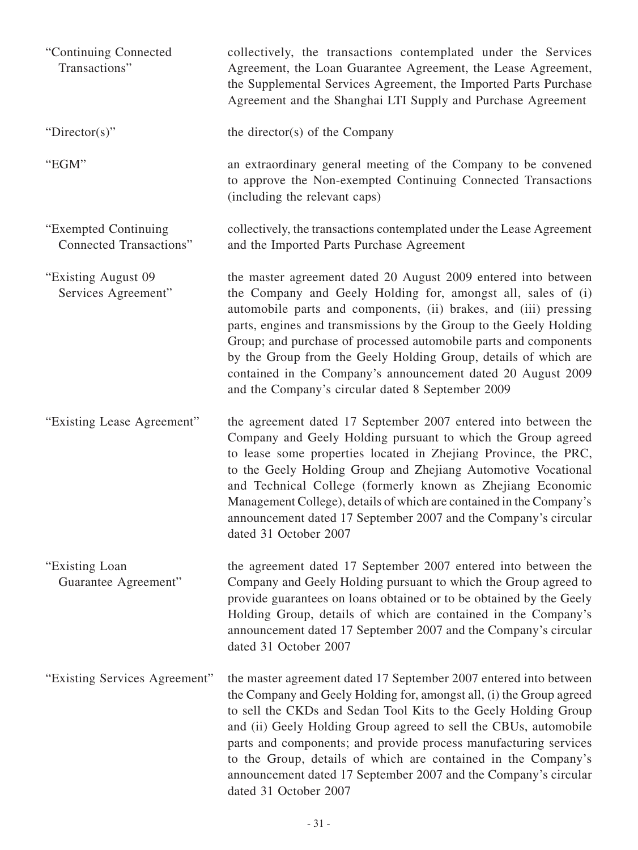| "Continuing Connected<br>Transactions"          | collectively, the transactions contemplated under the Services<br>Agreement, the Loan Guarantee Agreement, the Lease Agreement,<br>the Supplemental Services Agreement, the Imported Parts Purchase<br>Agreement and the Shanghai LTI Supply and Purchase Agreement                                                                                                                                                                                                                                                                  |
|-------------------------------------------------|--------------------------------------------------------------------------------------------------------------------------------------------------------------------------------------------------------------------------------------------------------------------------------------------------------------------------------------------------------------------------------------------------------------------------------------------------------------------------------------------------------------------------------------|
| " $Directory$ "                                 | the director(s) of the Company                                                                                                                                                                                                                                                                                                                                                                                                                                                                                                       |
| "EGM"                                           | an extraordinary general meeting of the Company to be convened<br>to approve the Non-exempted Continuing Connected Transactions<br>(including the relevant caps)                                                                                                                                                                                                                                                                                                                                                                     |
| "Exempted Continuing<br>Connected Transactions" | collectively, the transactions contemplated under the Lease Agreement<br>and the Imported Parts Purchase Agreement                                                                                                                                                                                                                                                                                                                                                                                                                   |
| "Existing August 09<br>Services Agreement"      | the master agreement dated 20 August 2009 entered into between<br>the Company and Geely Holding for, amongst all, sales of (i)<br>automobile parts and components, (ii) brakes, and (iii) pressing<br>parts, engines and transmissions by the Group to the Geely Holding<br>Group; and purchase of processed automobile parts and components<br>by the Group from the Geely Holding Group, details of which are<br>contained in the Company's announcement dated 20 August 2009<br>and the Company's circular dated 8 September 2009 |
| "Existing Lease Agreement"                      | the agreement dated 17 September 2007 entered into between the<br>Company and Geely Holding pursuant to which the Group agreed<br>to lease some properties located in Zhejiang Province, the PRC,<br>to the Geely Holding Group and Zhejiang Automotive Vocational<br>and Technical College (formerly known as Zhejiang Economic<br>Management College), details of which are contained in the Company's<br>announcement dated 17 September 2007 and the Company's circular<br>dated 31 October 2007                                 |
| "Existing Loan"<br>Guarantee Agreement"         | the agreement dated 17 September 2007 entered into between the<br>Company and Geely Holding pursuant to which the Group agreed to<br>provide guarantees on loans obtained or to be obtained by the Geely<br>Holding Group, details of which are contained in the Company's<br>announcement dated 17 September 2007 and the Company's circular<br>dated 31 October 2007                                                                                                                                                               |
| "Existing Services Agreement"                   | the master agreement dated 17 September 2007 entered into between<br>the Company and Geely Holding for, amongst all, (i) the Group agreed<br>to sell the CKDs and Sedan Tool Kits to the Geely Holding Group<br>and (ii) Geely Holding Group agreed to sell the CBUs, automobile<br>parts and components; and provide process manufacturing services<br>to the Group, details of which are contained in the Company's<br>announcement dated 17 September 2007 and the Company's circular<br>dated 31 October 2007                    |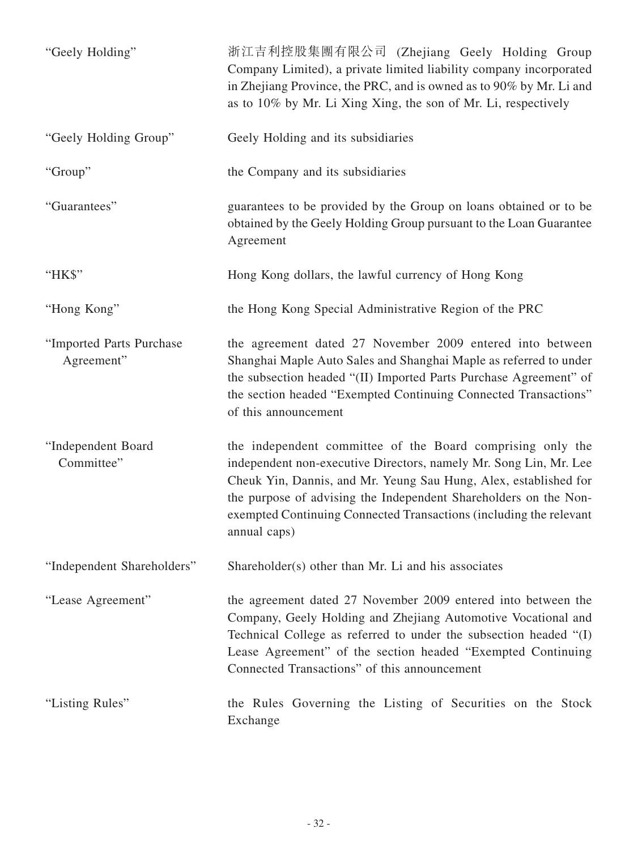| "Geely Holding"                        | 浙江吉利控股集團有限公司 (Zhejiang Geely Holding Group<br>Company Limited), a private limited liability company incorporated<br>in Zhejiang Province, the PRC, and is owned as to 90% by Mr. Li and<br>as to 10% by Mr. Li Xing Xing, the son of Mr. Li, respectively                                                                                                     |
|----------------------------------------|---------------------------------------------------------------------------------------------------------------------------------------------------------------------------------------------------------------------------------------------------------------------------------------------------------------------------------------------------------------|
| "Geely Holding Group"                  | Geely Holding and its subsidiaries                                                                                                                                                                                                                                                                                                                            |
| "Group"                                | the Company and its subsidiaries                                                                                                                                                                                                                                                                                                                              |
| "Guarantees"                           | guarantees to be provided by the Group on loans obtained or to be<br>obtained by the Geely Holding Group pursuant to the Loan Guarantee<br>Agreement                                                                                                                                                                                                          |
| "HK\$"                                 | Hong Kong dollars, the lawful currency of Hong Kong                                                                                                                                                                                                                                                                                                           |
| "Hong Kong"                            | the Hong Kong Special Administrative Region of the PRC                                                                                                                                                                                                                                                                                                        |
| "Imported Parts Purchase<br>Agreement" | the agreement dated 27 November 2009 entered into between<br>Shanghai Maple Auto Sales and Shanghai Maple as referred to under<br>the subsection headed "(II) Imported Parts Purchase Agreement" of<br>the section headed "Exempted Continuing Connected Transactions"<br>of this announcement                                                                |
| "Independent Board<br>Committee"       | the independent committee of the Board comprising only the<br>independent non-executive Directors, namely Mr. Song Lin, Mr. Lee<br>Cheuk Yin, Dannis, and Mr. Yeung Sau Hung, Alex, established for<br>the purpose of advising the Independent Shareholders on the Non-<br>exempted Continuing Connected Transactions (including the relevant<br>annual caps) |
| "Independent Shareholders"             | Shareholder(s) other than Mr. Li and his associates                                                                                                                                                                                                                                                                                                           |
| "Lease Agreement"                      | the agreement dated 27 November 2009 entered into between the<br>Company, Geely Holding and Zhejiang Automotive Vocational and<br>Technical College as referred to under the subsection headed "(I)<br>Lease Agreement" of the section headed "Exempted Continuing<br>Connected Transactions" of this announcement                                            |
| "Listing Rules"                        | the Rules Governing the Listing of Securities on the Stock<br>Exchange                                                                                                                                                                                                                                                                                        |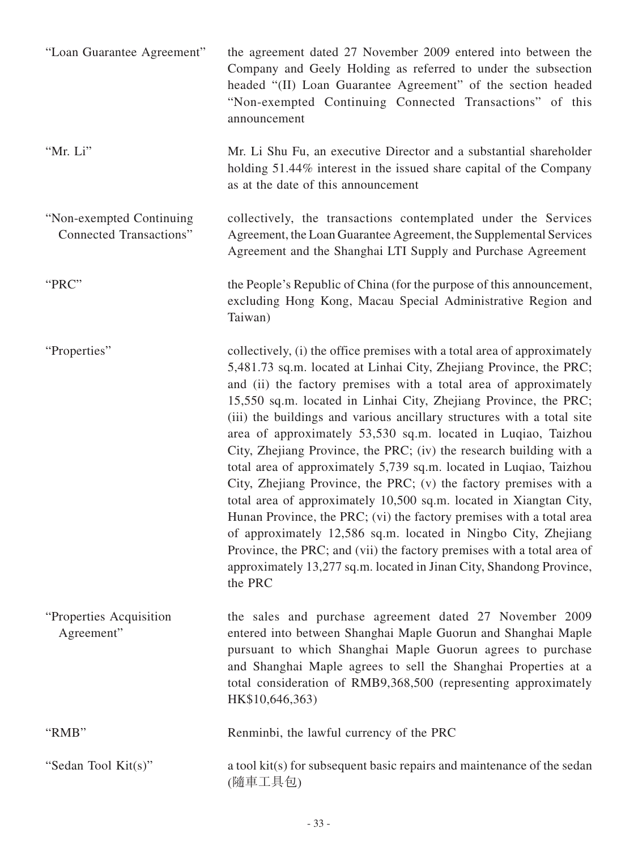| "Loan Guarantee Agreement"                                 | the agreement dated 27 November 2009 entered into between the<br>Company and Geely Holding as referred to under the subsection<br>headed "(II) Loan Guarantee Agreement" of the section headed<br>"Non-exempted Continuing Connected Transactions" of this<br>announcement                                                                                                                                                                                                                                                                                                                                                                                                                                                                                                                                                                                                                                                                                                                                                       |
|------------------------------------------------------------|----------------------------------------------------------------------------------------------------------------------------------------------------------------------------------------------------------------------------------------------------------------------------------------------------------------------------------------------------------------------------------------------------------------------------------------------------------------------------------------------------------------------------------------------------------------------------------------------------------------------------------------------------------------------------------------------------------------------------------------------------------------------------------------------------------------------------------------------------------------------------------------------------------------------------------------------------------------------------------------------------------------------------------|
| "Mr. Li"                                                   | Mr. Li Shu Fu, an executive Director and a substantial shareholder<br>holding 51.44% interest in the issued share capital of the Company<br>as at the date of this announcement                                                                                                                                                                                                                                                                                                                                                                                                                                                                                                                                                                                                                                                                                                                                                                                                                                                  |
| "Non-exempted Continuing<br><b>Connected Transactions"</b> | collectively, the transactions contemplated under the Services<br>Agreement, the Loan Guarantee Agreement, the Supplemental Services<br>Agreement and the Shanghai LTI Supply and Purchase Agreement                                                                                                                                                                                                                                                                                                                                                                                                                                                                                                                                                                                                                                                                                                                                                                                                                             |
| "PRC"                                                      | the People's Republic of China (for the purpose of this announcement,<br>excluding Hong Kong, Macau Special Administrative Region and<br>Taiwan)                                                                                                                                                                                                                                                                                                                                                                                                                                                                                                                                                                                                                                                                                                                                                                                                                                                                                 |
| "Properties"                                               | collectively, (i) the office premises with a total area of approximately<br>5,481.73 sq.m. located at Linhai City, Zhejiang Province, the PRC;<br>and (ii) the factory premises with a total area of approximately<br>15,550 sq.m. located in Linhai City, Zhejiang Province, the PRC;<br>(iii) the buildings and various ancillary structures with a total site<br>area of approximately 53,530 sq.m. located in Luqiao, Taizhou<br>City, Zhejiang Province, the PRC; (iv) the research building with a<br>total area of approximately 5,739 sq.m. located in Luqiao, Taizhou<br>City, Zhejiang Province, the PRC; (v) the factory premises with a<br>total area of approximately 10,500 sq.m. located in Xiangtan City,<br>Hunan Province, the PRC; (vi) the factory premises with a total area<br>of approximately 12,586 sq.m. located in Ningbo City, Zhejiang<br>Province, the PRC; and (vii) the factory premises with a total area of<br>approximately 13,277 sq.m. located in Jinan City, Shandong Province,<br>the PRC |
| "Properties Acquisition<br>Agreement"                      | the sales and purchase agreement dated 27 November 2009<br>entered into between Shanghai Maple Guorun and Shanghai Maple<br>pursuant to which Shanghai Maple Guorun agrees to purchase<br>and Shanghai Maple agrees to sell the Shanghai Properties at a<br>total consideration of RMB9,368,500 (representing approximately<br>HK\$10,646,363)                                                                                                                                                                                                                                                                                                                                                                                                                                                                                                                                                                                                                                                                                   |
| "RMB"                                                      | Renminbi, the lawful currency of the PRC                                                                                                                                                                                                                                                                                                                                                                                                                                                                                                                                                                                                                                                                                                                                                                                                                                                                                                                                                                                         |
| "Sedan Tool Kit(s)"                                        | a tool kit(s) for subsequent basic repairs and maintenance of the sedan<br>(隨車工具包)                                                                                                                                                                                                                                                                                                                                                                                                                                                                                                                                                                                                                                                                                                                                                                                                                                                                                                                                               |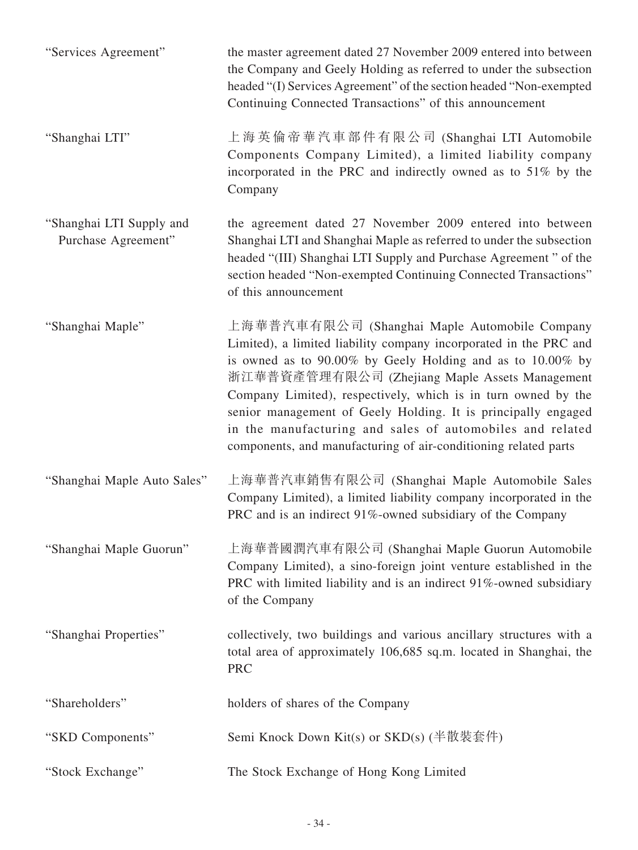| "Services Agreement"                            | the master agreement dated 27 November 2009 entered into between<br>the Company and Geely Holding as referred to under the subsection<br>headed "(I) Services Agreement" of the section headed "Non-exempted<br>Continuing Connected Transactions" of this announcement                                                                                                                                                                                                                              |
|-------------------------------------------------|------------------------------------------------------------------------------------------------------------------------------------------------------------------------------------------------------------------------------------------------------------------------------------------------------------------------------------------------------------------------------------------------------------------------------------------------------------------------------------------------------|
| "Shanghai LTI"                                  | 上海英倫帝華汽車部件有限公司 (Shanghai LTI Automobile<br>Components Company Limited), a limited liability company<br>incorporated in the PRC and indirectly owned as to 51% by the<br>Company                                                                                                                                                                                                                                                                                                                      |
| "Shanghai LTI Supply and<br>Purchase Agreement" | the agreement dated 27 November 2009 entered into between<br>Shanghai LTI and Shanghai Maple as referred to under the subsection<br>headed "(III) Shanghai LTI Supply and Purchase Agreement" of the<br>section headed "Non-exempted Continuing Connected Transactions"<br>of this announcement                                                                                                                                                                                                      |
| "Shanghai Maple"                                | 上海華普汽車有限公司 (Shanghai Maple Automobile Company<br>Limited), a limited liability company incorporated in the PRC and<br>is owned as to 90.00% by Geely Holding and as to 10.00% by<br>浙江華普資產管理有限公司 (Zhejiang Maple Assets Management<br>Company Limited), respectively, which is in turn owned by the<br>senior management of Geely Holding. It is principally engaged<br>in the manufacturing and sales of automobiles and related<br>components, and manufacturing of air-conditioning related parts |
| "Shanghai Maple Auto Sales"                     | 上海華普汽車銷售有限公司 (Shanghai Maple Automobile Sales<br>Company Limited), a limited liability company incorporated in the<br>PRC and is an indirect 91%-owned subsidiary of the Company                                                                                                                                                                                                                                                                                                                     |
| "Shanghai Maple Guorun"                         | 上海華普國潤汽車有限公司 (Shanghai Maple Guorun Automobile<br>Company Limited), a sino-foreign joint venture established in the<br>PRC with limited liability and is an indirect 91%-owned subsidiary<br>of the Company                                                                                                                                                                                                                                                                                          |
| "Shanghai Properties"                           | collectively, two buildings and various ancillary structures with a<br>total area of approximately 106,685 sq.m. located in Shanghai, the<br><b>PRC</b>                                                                                                                                                                                                                                                                                                                                              |
| "Shareholders"                                  | holders of shares of the Company                                                                                                                                                                                                                                                                                                                                                                                                                                                                     |
| "SKD Components"                                | Semi Knock Down Kit(s) or SKD(s) (半散裝套件)                                                                                                                                                                                                                                                                                                                                                                                                                                                             |
| "Stock Exchange"                                | The Stock Exchange of Hong Kong Limited                                                                                                                                                                                                                                                                                                                                                                                                                                                              |